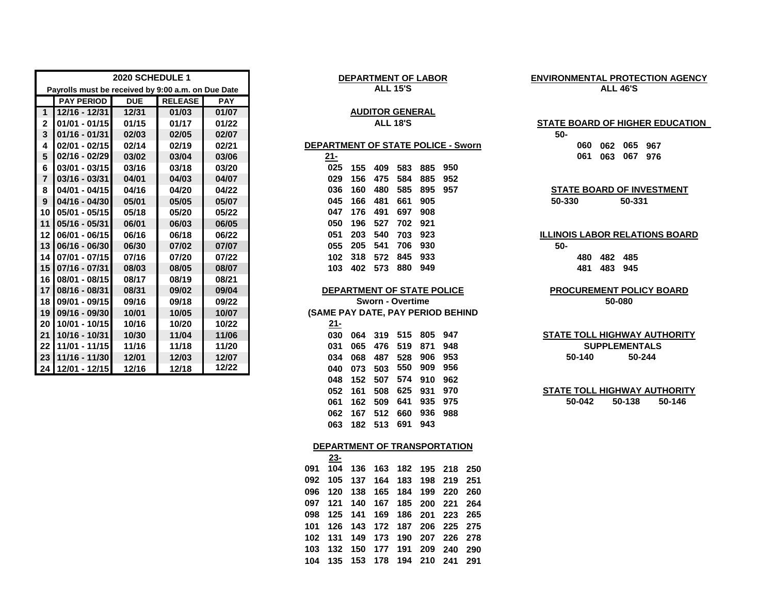|                 |                                                    | 2020 SCHEDULE 1 |                |            | <b>DEPARTMENT OF LABOR</b><br><b>ENVIRONMENTAL PROTECTIO</b> |                                 |  |  |  |
|-----------------|----------------------------------------------------|-----------------|----------------|------------|--------------------------------------------------------------|---------------------------------|--|--|--|
|                 | Payrolls must be received by 9:00 a.m. on Due Date |                 |                |            | <b>ALL 15'S</b>                                              | <b>ALL 46'S</b>                 |  |  |  |
|                 | <b>PAY PERIOD</b>                                  | <b>DUE</b>      | <b>RELEASE</b> | <b>PAY</b> |                                                              |                                 |  |  |  |
| $\mathbf{1}$    | $12/16 - 12/31$                                    | 12/31           | 01/03          | 01/07      | <b>AUDITOR GENERAL</b>                                       |                                 |  |  |  |
| $\overline{2}$  | $01/01 - 01/15$                                    | 01/15           | 01/17          | 01/22      | <b>ALL 18'S</b>                                              | <b>STATE BOARD OF HIGHER E</b>  |  |  |  |
| 3               | $01/16 - 01/31$                                    | 02/03           | 02/05          | 02/07      |                                                              | $50-$                           |  |  |  |
| 4               | $02/01 - 02/15$                                    | 02/14           | 02/19          | 02/21      | DEPARTMENT OF STATE POLICE - Sworn                           | 065 967<br>060<br>062           |  |  |  |
| 5               | $02/16 - 02/29$                                    | 03/02           | 03/04          | 03/06      | $21 -$                                                       | 061<br>063<br>067<br>976        |  |  |  |
| 6               | 03/01 - 03/15                                      | 03/16           | 03/18          | 03/20      | 025<br>950<br>155<br>885<br>409<br>583                       |                                 |  |  |  |
|                 | $03/16 - 03/31$                                    | 04/01           | 04/03          | 04/07      | 029<br>156<br>475<br>584<br>885<br>952                       |                                 |  |  |  |
| 8               | 04/01 - 04/15                                      | 04/16           | 04/20          | 04/22      | 036<br>480<br>585<br>895<br>160<br>957                       | <b>STATE BOARD OF INVEST</b>    |  |  |  |
| 9               | 04/16 - 04/30                                      | 05/01           | 05/05          | 05/07      | 045<br>166<br>481<br>661<br>905                              | 50-330<br>50-331                |  |  |  |
|                 | 10 05/01 - 05/15                                   | 05/18           | 05/20          | 05/22      | 697<br>047<br>176<br>491<br>908                              |                                 |  |  |  |
| 11              | 05/16 - 05/31                                      | 06/01           | 06/03          | 06/05      | 050<br>196<br>702<br>527<br>921                              |                                 |  |  |  |
| 12 <sub>l</sub> | 06/01 - 06/15                                      | 06/16           | 06/18          | 06/22      | 051<br>203<br>540<br>923<br>703                              | <b>ILLINOIS LABOR RELATIONS</b> |  |  |  |
|                 | 13 06/16 - 06/30                                   | 06/30           | 07/02          | 07/07      | 541<br>706<br>055<br>205<br>930                              | $50 -$                          |  |  |  |
| 14 <sup>1</sup> | 07/01 - 07/15                                      | 07/16           | 07/20          | 07/22      | 318<br>845<br>933<br>102<br>572                              | 482<br>480<br>485               |  |  |  |
|                 | 15 07/16 - 07/31                                   | 08/03           | 08/05          | 08/07      | 880<br>103<br>402 573<br>949                                 | 483<br>481<br>945               |  |  |  |
|                 | 16 08/01 - 08/15                                   | 08/17           | 08/19          | 08/21      |                                                              |                                 |  |  |  |
| 17              | 08/16 - 08/31                                      | 08/31           | 09/02          | 09/04      | DEPARTMENT OF STATE POLICE                                   | <b>PROCUREMENT POLICY E</b>     |  |  |  |
|                 | 18 09/01 - 09/15                                   | 09/16           | 09/18          | 09/22      | <b>Sworn - Overtime</b>                                      | 50-080                          |  |  |  |
|                 | 19 09/16 - 09/30                                   | 10/01           | 10/05          | 10/07      | (SAME PAY DATE, PAY PERIOD BEHIND                            |                                 |  |  |  |
| 20 <sub>1</sub> | 10/01 - 10/15                                      | 10/16           | 10/20          | 10/22      | $21 -$                                                       |                                 |  |  |  |
| 21              | 10/16 - 10/31                                      | 10/30           | 11/04          | 11/06      | 515<br>805<br>947<br>030<br>319<br>064                       | <b>STATE TOLL HIGHWAY AUT</b>   |  |  |  |
| 22              | 11/01 - 11/15                                      | 11/16           | 11/18          | 11/20      | 871<br>476<br>948<br>031<br>065<br>519                       | <b>SUPPLEMENTALS</b>            |  |  |  |
|                 | 23 11/16 - 11/30                                   | 12/01           | 12/03          | 12/07      | 953<br>906<br>528<br>034<br>068<br>487                       | 50-244<br>50-140                |  |  |  |
|                 | 24 12/01 - 12/15                                   | 12/16           | 12/18          | 12/22      | 909<br>956<br>550<br>503<br>040<br>073                       |                                 |  |  |  |

#### **DEPARTMENT OF LABOR ALL 15'S**

# **AUDITOR GENERAL**

| 21- |     |     |            |                   |                          |
|-----|-----|-----|------------|-------------------|--------------------------|
| 025 | 155 | 409 | 583        | 885               | 950                      |
| 029 |     | 475 |            | 885               | 952                      |
| 036 | 160 | 480 |            | 895               | 957                      |
| 045 | 166 |     | 661        | 905               |                          |
| 047 | 176 |     | 697        | 908               |                          |
| 050 | 196 |     | 702        | 921               |                          |
| 051 | 203 | 540 | 703        | 923               |                          |
| 055 |     | 541 |            | 930               |                          |
| 102 | 318 | 572 |            | 933               |                          |
| 103 | 402 | 573 | 880        | 949               |                          |
|     |     |     | 156<br>205 | 481<br>491<br>527 | 584<br>585<br>706<br>845 |

#### **DEPARTMENT OF STATE POLICE**

 **10/16 - 10/31 10/30 11/04 11/06 030 064 319 515 805 947 11/01 - 11/15 11/16 11/18 11/20 031 065 476 519 871 948 11/16 - 11/30 12/01 12/03 12/07 034 068 487 528 906 953 50-140 12/01 - 12/15 12/16 12/18 12/22 040 073 503 550 909 956 152 507 574 910 962 161 508 625 931 970 162 509 641 935 975 50-042 50-138 167 512 660 936 988 182 513 691 943**

#### **DEPARTMENT OF TRANSPORTATION**

|  | 23- |                                 |  |  |  |
|--|-----|---------------------------------|--|--|--|
|  |     | 091 104 136 163 182 195 218 250 |  |  |  |
|  |     | 092 105 137 164 183 198 219 251 |  |  |  |
|  |     | 096 120 138 165 184 199 220 260 |  |  |  |
|  |     | 097 121 140 167 185 200 221 264 |  |  |  |
|  |     | 098 125 141 169 186 201 223 265 |  |  |  |
|  |     | 101 126 143 172 187 206 225 275 |  |  |  |
|  |     | 102 131 149 173 190 207 226 278 |  |  |  |
|  |     | 103 132 150 177 191 209 240 290 |  |  |  |
|  |     | 104 135 153 178 194 210 241 291 |  |  |  |
|  |     |                                 |  |  |  |

### **ENVIRONMENTAL PROTECTION AGENCY ALL 46'S**

#### **ALL 18'S STATE BOARD OF HIGHER EDUCATION**

# **04/01 - 04/15 04/16 04/20 04/22 036 160 480 585 895 957 STATE BOARD OF INVESTMENT**

#### **ILLINOIS LABOR RELATIONS BOARD**

# **PROCUREMENT POLICY BOARD**

## **SUPPLEMENTALS STATE TOLL HIGHWAY AUTHORITY 50-244**

**STATE TOLL HIGHWAY AUTHORITY 50-146**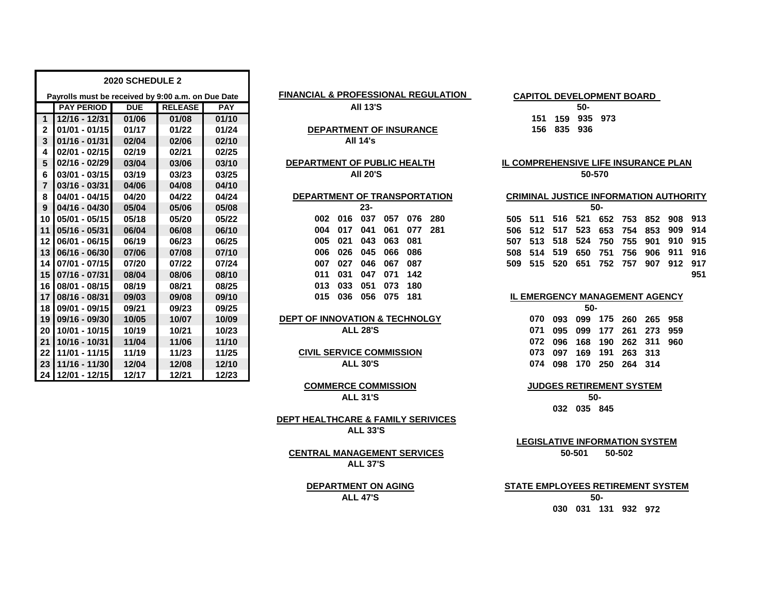|                 |                                                    | <b>2020 SCHEDULE 2</b> |                |            |                                                |     |                                            |     |        |        |     |     |     |
|-----------------|----------------------------------------------------|------------------------|----------------|------------|------------------------------------------------|-----|--------------------------------------------|-----|--------|--------|-----|-----|-----|
|                 | Payrolls must be received by 9:00 a.m. on Due Date |                        |                |            | <b>FINANCIAL &amp; PROFESSIONAL REGULATION</b> |     | CAPITOL DEVELOPMENT BOARD                  |     |        |        |     |     |     |
|                 | <b>PAY PERIOD</b>                                  | <b>DUE</b>             | <b>RELEASE</b> | <b>PAY</b> | <b>All 13'S</b>                                |     |                                            |     | 50-    |        |     |     |     |
| $1 \mid$        | 12/16 - 12/31                                      | 01/06                  | 01/08          | 01/10      |                                                |     | 151                                        | 159 | 935    | 973    |     |     |     |
| $\mathbf{2}$    | $01/01 - 01/15$                                    | 01/17                  | 01/22          | 01/24      | <b>DEPARTMENT OF INSURANCE</b>                 |     | 156                                        | 835 | 936    |        |     |     |     |
| 3               | $01/16 - 01/31$                                    | 02/04                  | 02/06          | 02/10      | <b>All 14's</b>                                |     |                                            |     |        |        |     |     |     |
| 4               | $02/01 - 02/15$                                    | 02/19                  | 02/21          | 02/25      |                                                |     |                                            |     |        |        |     |     |     |
| 5               | 02/16 - 02/29                                      | 03/04                  | 03/06          | 03/10      | DEPARTMENT OF PUBLIC HEALTH                    |     | <u>IL COMPREHENSIVE LIFE INSURANCE PLA</u> |     |        |        |     |     |     |
| 6               | 03/01 - 03/15                                      | 03/19                  | 03/23          | 03/25      | <b>AII 20'S</b>                                |     |                                            |     | 50-570 |        |     |     |     |
| $\overline{7}$  | $03/16 - 03/31$                                    | 04/06                  | 04/08          | 04/10      |                                                |     |                                            |     |        |        |     |     |     |
| 8               | 04/01 - 04/15                                      | 04/20                  | 04/22          | 04/24      | DEPARTMENT OF TRANSPORTATION                   |     | <b>CRIMINAL JUSTICE INFORMATION AUTHO</b>  |     |        |        |     |     |     |
| 9               | $04/16 - 04/30$                                    | 05/04                  | 05/06          | 05/08      | $23 -$                                         |     |                                            |     |        | $50 -$ |     |     |     |
| 10 <sub>1</sub> | 05/01 - 05/15                                      | 05/18                  | 05/20          | 05/22      | 016<br>037<br>076<br>280<br>057<br>002         | 505 | 511                                        | 516 | 521    | 652    | 753 | 852 | 908 |
| 11              | 05/16 - 05/31                                      | 06/04                  | 06/08          | 06/10      | 077<br>281<br>041<br>061<br>004<br>017         | 506 | 512                                        | 517 | 523    | 653    | 754 | 853 | 909 |
| $12 \,$         | 06/01 - 06/15                                      | 06/19                  | 06/23          | 06/25      | 063<br>081<br>021<br>043<br>005                | 507 | 513                                        | 518 | 524    | 750    | 755 | 901 | 910 |
| 13 <sup>1</sup> | 06/16 - 06/30                                      | 07/06                  | 07/08          | 07/10      | 026<br>045<br>086<br>006<br>066                | 508 | 514                                        | 519 | 650    | 751    | 756 | 906 | 911 |
| 14 <sup>1</sup> | 07/01 - 07/15                                      | 07/20                  | 07/22          | 07/24      | 027<br>046<br>067<br>087<br>007                | 509 | 515                                        | 520 | 651    | 752    | 757 | 907 | 912 |
|                 | 15 07/16 - 07/31                                   | 08/04                  | 08/06          | 08/10      | 031<br>047<br>071<br>142<br>011                |     |                                            |     |        |        |     |     |     |
| 16              | 08/01 - 08/15                                      | 08/19                  | 08/21          | 08/25      | 180<br>033<br>051<br>073<br>013                |     |                                            |     |        |        |     |     |     |
| 17              | 08/16 - 08/31                                      | 09/03                  | 09/08          | 09/10      | 075<br>181<br>015<br>036<br>056                |     | <b>IL EMERGENCY MANAGEMENT AGENCY</b>      |     |        |        |     |     |     |
| 18 I            | 09/01 - 09/15                                      | 09/21                  | 09/23          | 09/25      |                                                |     |                                            |     | $50 -$ |        |     |     |     |
| 19              | 09/16 - 09/30                                      | 10/05                  | 10/07          | 10/09      | <b>DEPT OF INNOVATION &amp; TECHNOLGY</b>      |     | 070                                        | 093 | 099    | 175    | 260 | 265 | 958 |
| 20 <sub>1</sub> | 10/01 - 10/15                                      | 10/19                  | 10/21          | 10/23      | <b>ALL 28'S</b>                                |     | 071                                        | 095 | 099    | 177    | 261 | 273 | 959 |
| 21              | 10/16 - 10/31                                      | 11/04                  | 11/06          | 11/10      |                                                |     | 072                                        | 096 | 168    | 190    | 262 | 311 | 960 |
| 22              | 11/01 - 11/15                                      | 11/19                  | 11/23          | 11/25      | <b>CIVIL SERVICE COMMISSION</b>                |     | 073                                        | 097 | 169    | 191    | 263 | 313 |     |
| 23 <sup>1</sup> | 11/16 - 11/30                                      | 12/04                  | 12/08          | 12/10      | <b>ALL 30'S</b>                                |     | 074                                        | 098 | 170    | 250    | 264 | 314 |     |
|                 | 24 12/01 - 12/15                                   | 12/17                  | 12/21          | 12/23      |                                                |     |                                            |     |        |        |     |     |     |

### **FINANCIAL & PROFESSIONAL REGULATION**

# **DEPARTMENT OF PUBLIC HEALTH**

#### **DEPARTMENT OF TRANSPORTATION**

|       |                         | $23 -$          |  |  |
|-------|-------------------------|-----------------|--|--|
|       | 002 016 037 057 076 280 |                 |  |  |
|       | 004 017 041 061 077 281 |                 |  |  |
|       | 005 021 043 063 081     |                 |  |  |
|       | 006 026 045 066 086     |                 |  |  |
|       | 007 027 046 067 087     |                 |  |  |
|       | 011 031 047 071 142     |                 |  |  |
|       | 013 033 051 073 180     |                 |  |  |
| 015 - |                         | 036 056 075 181 |  |  |
|       |                         |                 |  |  |

# **ALL 28'S**

## **COMMERCE COMMISSION ALL 31'S**

**DEPT HEALTHCARE & FAMILY SERIVICES ALL 33'S**

| IL EMERGENCY MANAGEMENT AGENCY |                             |  |  |
|--------------------------------|-----------------------------|--|--|
|                                | 50-                         |  |  |
|                                | 070 093 099 175 260 265 958 |  |  |
|                                | 071 095 099 177 261 273 959 |  |  |
|                                | 072 096 168 190 262 311 960 |  |  |
|                                | 073 097 169 191 263 313     |  |  |
|                                | 074 098 170 250 264 314     |  |  |

#### **JUDGES RETIREMENT SYSTEM**

**032 035 845 50-**

**50-501 50-502 LEGISLATIVE INFORMATION SYSTEM**

**CENTRAL MANAGEMENT SERVICES ALL 37'S**

## **DEPARTMENT ON AGING ALL 47'S**

#### **STATE EMPLOYEES RETIREMENT SYSTEM**

**030 031 131 932 972 50-**

**50-570 IL COMPREHENSIVE LIFE INSURANCE PLAN**

| $8$   04/01 - 04/15                | 04/20     | 04/22     | 04/24     | DEPARTMENT OF TRANSPORTATION |         |     |          |         |     |             |         |     |             |  | <b>CRIMINAL JUSTICE INFORMATION AUTHORITY</b> |     |
|------------------------------------|-----------|-----------|-----------|------------------------------|---------|-----|----------|---------|-----|-------------|---------|-----|-------------|--|-----------------------------------------------|-----|
| $9$   04/16 - 04/30                | 05/04     | 05/06     | 05/08     |                              |         | 23- |          |         |     |             |         |     | -50         |  |                                               |     |
| 10 <b>1</b> 05/01 - 05/15 <b>1</b> | 05/18     | 05/20     | 05/22     |                              | 002 016 | 037 | 057      | 076 280 |     | 505 511     | 516     | 521 |             |  | 652 753 852 908 913                           |     |
| 11 05/16 - 05/31                   | 06/04     | 06/08     | 06/10     | 004                          | 017     | 041 | 061      | 077 281 |     | 506 512 517 |         |     | 523 653 754 |  | 853 909 914                                   |     |
| 12 06/01 - 06/15                   | 06/19     | 06/23     | 06/25     |                              | 005 021 | 043 | 063      | - 081   | 507 |             | 513 518 | 524 | 750 755 901 |  | 910 915                                       |     |
| 13   06/16 - 06/30                 | 07/06     | 07/08     | 07/10     | 006                          | 026     | 045 | 066      | 086     |     | 508 514 519 |         | 650 | 751 756     |  | 906 911 916                                   |     |
| 14   07/01 - 07/15                 | 07/20     | 07/22     | 07/24     | 007                          | -027    | 046 | 067      | 087     |     | 509 515     | 520     |     | 651 752 757 |  | 907 912 917                                   |     |
| 15 07/16 - 07/31                   | 08/04     | 08/06     | 08/10     | 011                          | 031     | 047 | 071      | 142     |     |             |         |     |             |  |                                               | 951 |
|                                    | - - - - - | - - - - - | - - - - - |                              |         |     | ---- --- |         |     |             |         |     |             |  |                                               |     |

|                             | 50- |  |  |
|-----------------------------|-----|--|--|
| 070 093 099 175 260 265 958 |     |  |  |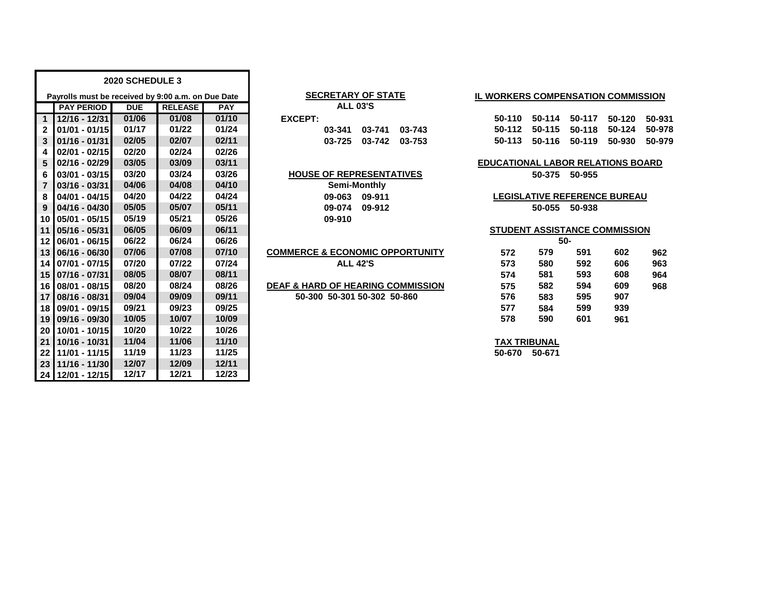|                   |                                                    | 2020 SCHEDULE 3 |                |            |                                              |                                          |                                      |               |        |        |  |
|-------------------|----------------------------------------------------|-----------------|----------------|------------|----------------------------------------------|------------------------------------------|--------------------------------------|---------------|--------|--------|--|
|                   | Payrolls must be received by 9:00 a.m. on Due Date |                 |                |            | <b>SECRETARY OF STATE</b>                    |                                          | IL WORKERS COMPENSATION COMMISSION   |               |        |        |  |
|                   | <b>PAY PERIOD</b>                                  | <b>DUE</b>      | <b>RELEASE</b> | <b>PAY</b> | <b>ALL 03'S</b>                              |                                          |                                      |               |        |        |  |
| 1 <sup>1</sup>    | 12/16 - 12/31                                      | 01/06           | 01/08          | 01/10      | <b>EXCEPT:</b>                               | 50-110                                   | 50-114                               | 50-117        | 50-120 | 50-931 |  |
| $\mathbf{2}$      | $01/01 - 01/15$                                    | 01/17           | 01/22          | 01/24      | 03-741<br>03-743<br>03-341                   | 50-112                                   | 50-115                               | 50-118        | 50-124 | 50-978 |  |
| 3                 | $01/16 - 01/31$                                    | 02/05           | 02/07          | 02/11      | 03-742<br>03-725<br>03-753                   | 50-113                                   | 50-116                               | 50-119        | 50-930 | 50-979 |  |
| 4                 | $02/01 - 02/15$                                    | 02/20           | 02/24          | 02/26      |                                              |                                          |                                      |               |        |        |  |
| 5                 | $02/16 - 02/29$                                    | 03/05           | 03/09          | 03/11      |                                              | <b>EDUCATIONAL LABOR RELATIONS BOARD</b> |                                      |               |        |        |  |
| 6                 | $03/01 - 03/15$                                    | 03/20           | 03/24          | 03/26      | <b>HOUSE OF REPRESENTATIVES</b>              |                                          |                                      | 50-375 50-955 |        |        |  |
| $\overline{7}$    | $03/16 - 03/31$                                    | 04/06           | 04/08          | 04/10      | Semi-Monthly                                 |                                          |                                      |               |        |        |  |
| 8                 | 04/01 - 04/15                                      | 04/20           | 04/22          | 04/24      | 09-063<br>09-911                             |                                          | <b>LEGISLATIVE REFERENCE BUREAU</b>  |               |        |        |  |
| 9                 | 04/16 - 04/30                                      | 05/05           | 05/07          | 05/11      | 09-074<br>09-912                             |                                          | 50-055                               | 50-938        |        |        |  |
| 10 <sub>1</sub>   | 05/01 - 05/15                                      | 05/19           | 05/21          | 05/26      | 09-910                                       |                                          |                                      |               |        |        |  |
| 11                | 05/16 - 05/31                                      | 06/05           | 06/09          | 06/11      |                                              |                                          | <b>STUDENT ASSISTANCE COMMISSION</b> |               |        |        |  |
| $12 \overline{ }$ | 06/01 - 06/15                                      | 06/22           | 06/24          | 06/26      |                                              |                                          |                                      | $50 -$        |        |        |  |
| 13                | 06/16 - 06/30                                      | 07/06           | 07/08          | 07/10      | <b>COMMERCE &amp; ECONOMIC OPPORTUNITY</b>   | 572                                      | 579                                  | 591           | 602    | 962    |  |
| 14 <sup>1</sup>   | 07/01 - 07/15                                      | 07/20           | 07/22          | 07/24      | <b>ALL 42'S</b>                              | 573                                      | 580                                  | 592           | 606    | 963    |  |
| 15                | 07/16 - 07/31                                      | 08/05           | 08/07          | 08/11      |                                              | 574                                      | 581                                  | 593           | 608    | 964    |  |
| 16                | 08/01 - 08/15                                      | 08/20           | 08/24          | 08/26      | <b>DEAF &amp; HARD OF HEARING COMMISSION</b> | 575                                      | 582                                  | 594           | 609    | 968    |  |
| 17 <sup>1</sup>   | 08/16 - 08/31                                      | 09/04           | 09/09          | 09/11      | 50-300 50-301 50-302 50-860                  | 576                                      | 583                                  | 595           | 907    |        |  |
| 18 <sup>1</sup>   | 09/01 - 09/15                                      | 09/21           | 09/23          | 09/25      |                                              | 577                                      | 584                                  | 599           | 939    |        |  |
| 19                | 09/16 - 09/30                                      | 10/05           | 10/07          | 10/09      |                                              | 578                                      | 590                                  | 601           | 961    |        |  |
| 20 <sub>1</sub>   | 10/01 - 10/15                                      | 10/20           | 10/22          | 10/26      |                                              |                                          |                                      |               |        |        |  |
| 21                | 10/16 - 10/31                                      | 11/04           | 11/06          | 11/10      |                                              |                                          | <b>TAX TRIBUNAL</b>                  |               |        |        |  |
| $22 \,$           | 11/01 - 11/15                                      | 11/19           | 11/23          | 11/25      |                                              | 50-670                                   | 50-671                               |               |        |        |  |
| 23                | 11/16 - 11/30                                      | 12/07           | 12/09          | 12/11      |                                              |                                          |                                      |               |        |        |  |
|                   | 24 12/01 - 12/15                                   | 12/17           | 12/21          | 12/23      |                                              |                                          |                                      |               |        |        |  |

## **SECRETARY OF STATE**

|       | <b>ALL 03'S</b> |                      |  |
|-------|-----------------|----------------------|--|
| :EPT: |                 |                      |  |
|       |                 | 03-341 03-741 03-743 |  |
|       |                 | 03-725 03-742 03-753 |  |

|        | Semi-Monthly |
|--------|--------------|
| 09-063 | 09-911       |
| 09-074 | 09-91:       |
| 09-910 |              |

| <b>COMMERCE &amp; ECONOMIC OPPORTUNITY</b> |
|--------------------------------------------|
| ALL 42'S                                   |

### **IL WORKERS COMPENSATION COMMISSION**

| 50-110 50-114 50-117               | 50-120 50-931 |  |
|------------------------------------|---------------|--|
| 50-112 50-115 50-118 50-124 50-978 |               |  |
| 50-113 50-116 50-119 50-930 50-979 |               |  |

# **EDUCATIONAL LABOR RELATIONS BOARD**

### **STUDENT ASSISTANCE COMMISSION**

|     |     | 50- |     |     |
|-----|-----|-----|-----|-----|
| 572 | 579 | 591 | 602 | 962 |
| 573 | 580 | 592 | 606 | 963 |
| 574 | 581 | 593 | 608 | 964 |
| 575 | 582 | 594 | 609 | 968 |
| 576 | 583 | 595 | 907 |     |
| 577 | 584 | 599 | 939 |     |
| 578 | 590 | 601 | 961 |     |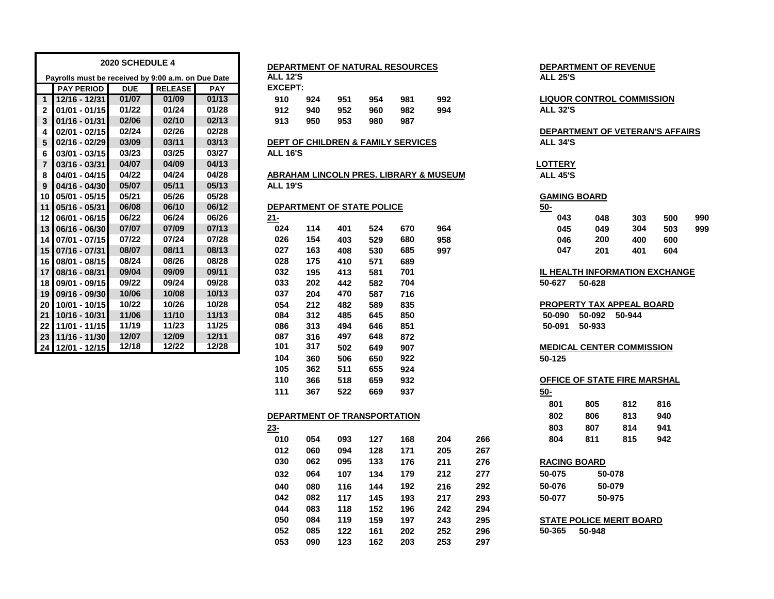|                 | 2020 SCHEDULE 4<br>Payrolls must be received by 9:00 a.m. on Due Date |            |                |            |                 | DEPARTMENT OF NATURAL RESOURCES |                            |     |                                               |                                        |                     | <b>DEPARTMENT OF REVENUE</b>     |        |     |     |  |  |
|-----------------|-----------------------------------------------------------------------|------------|----------------|------------|-----------------|---------------------------------|----------------------------|-----|-----------------------------------------------|----------------------------------------|---------------------|----------------------------------|--------|-----|-----|--|--|
|                 |                                                                       |            |                |            | <b>ALL 12'S</b> |                                 |                            |     |                                               |                                        | <b>ALL 25'S</b>     |                                  |        |     |     |  |  |
|                 | <b>PAY PERIOD</b>                                                     | <b>DUE</b> | <b>RELEASE</b> | <b>PAY</b> | <b>EXCEPT:</b>  |                                 |                            |     |                                               |                                        |                     |                                  |        |     |     |  |  |
| $\mathbf{1}$    | 12/16 - 12/31                                                         | 01/07      | 01/09          | 01/13      | 910             | 924                             | 951                        | 954 | 981                                           | 992                                    |                     | <b>LIQUOR CONTROL COMMISSION</b> |        |     |     |  |  |
| $\mathbf{2}$    | $01/01 - 01/15$                                                       | 01/22      | 01/24          | 01/28      | 912             | 940                             | 952                        | 960 | 982                                           | 994                                    |                     | <b>ALL 32'S</b>                  |        |     |     |  |  |
| 3               | $01/16 - 01/31$                                                       | 02/06      | 02/10          | 02/13      | 913             | 950                             | 953                        | 980 | 987                                           |                                        |                     |                                  |        |     |     |  |  |
| 4               | $02/01 - 02/15$                                                       | 02/24      | 02/26          | 02/28      |                 |                                 |                            |     |                                               |                                        |                     | DEPARTMENT OF VETERAN'S AFFAIRS  |        |     |     |  |  |
| 5               | 02/16 - 02/29                                                         | 03/09      | 03/11          | 03/13      |                 |                                 |                            |     | <b>DEPT OF CHILDREN &amp; FAMILY SERVICES</b> |                                        | <b>ALL 34'S</b>     |                                  |        |     |     |  |  |
| 6               | $03/01 - 03/15$                                                       | 03/23      | 03/25          | 03/27      | <b>ALL 16'S</b> |                                 |                            |     |                                               |                                        |                     |                                  |        |     |     |  |  |
| $\overline{7}$  | $03/16 - 03/31$                                                       | 04/07      | 04/09          | 04/13      |                 |                                 |                            |     |                                               |                                        | <b>LOTTERY</b>      |                                  |        |     |     |  |  |
| 8               | 04/01 - 04/15                                                         | 04/22      | 04/24          | 04/28      |                 |                                 |                            |     |                                               | ABRAHAM LINCOLN PRES. LIBRARY & MUSEUM | <b>ALL 45'S</b>     |                                  |        |     |     |  |  |
| 9               | $04/16 - 04/30$                                                       | 05/07      | 05/11          | 05/13      | <b>ALL 19'S</b> |                                 |                            |     |                                               |                                        |                     |                                  |        |     |     |  |  |
| 10 I            | $05/01 - 05/15$                                                       | 05/21      | 05/26          | 05/28      |                 |                                 |                            |     |                                               |                                        | <b>GAMING BOARD</b> |                                  |        |     |     |  |  |
| 11 <sup>1</sup> | 05/16 - 05/31                                                         | 06/08      | 06/10          | 06/12      |                 |                                 | DEPARTMENT OF STATE POLICE |     |                                               |                                        | $50-$               |                                  |        |     |     |  |  |
| 12 <sub>1</sub> | 06/01 - 06/15                                                         | 06/22      | 06/24          | 06/26      | $21 -$          |                                 |                            |     |                                               |                                        | 043                 | 048                              | 303    | 500 | 990 |  |  |
| 13 <sub>l</sub> | 06/16 - 06/30                                                         | 07/07      | 07/09          | 07/13      | 024             | 114                             | 401                        | 524 | 670                                           | 964                                    | 045                 | 049                              | 304    | 503 | 999 |  |  |
|                 | 14 07/01 - 07/15                                                      | 07/22      | 07/24          | 07/28      | 026             | 154                             | 403                        | 529 | 680                                           | 958                                    | 046                 | 200                              | 400    | 600 |     |  |  |
|                 | 15 07/16 - 07/31                                                      | 08/07      | 08/11          | 08/13      | 027             | 163                             | 408                        | 530 | 685                                           | 997                                    | 047                 | 201                              | 401    | 604 |     |  |  |
| 16 I            | 08/01 - 08/15                                                         | 08/24      | 08/26          | 08/28      | 028             | 175                             | 410                        | 571 | 689                                           |                                        |                     |                                  |        |     |     |  |  |
|                 | 17 08/16 - 08/31                                                      | 09/04      | 09/09          | 09/11      | 032             | 195                             | 413                        | 581 | 701                                           |                                        |                     | IL HEALTH INFORMATION EXCHANGE   |        |     |     |  |  |
| 18 <sup>1</sup> | 09/01 - 09/15                                                         | 09/22      | 09/24          | 09/28      | 033             | 202                             | 442                        | 582 | 704                                           |                                        | 50-627              | 50-628                           |        |     |     |  |  |
| 19 <sup>°</sup> | 09/16 - 09/30                                                         | 10/06      | 10/08          | 10/13      | 037             | 204                             | 470                        | 587 | 716                                           |                                        |                     |                                  |        |     |     |  |  |
| 20 <sub>1</sub> | 10/01 - 10/15                                                         | 10/22      | 10/26          | 10/28      | 054             | 212                             | 482                        | 589 | 835                                           |                                        |                     | <b>PROPERTY TAX APPEAL BOARD</b> |        |     |     |  |  |
| 21              | 10/16 - 10/31                                                         | 11/06      | 11/10          | 11/13      | 084             | 312                             | 485                        | 645 | 850                                           |                                        | 50-090              | 50-092                           | 50-944 |     |     |  |  |
| 22              | 11/01 - 11/15                                                         | 11/19      | 11/23          | 11/25      | 086             | 313                             | 494                        | 646 | 851                                           |                                        | 50-091              | 50-933                           |        |     |     |  |  |
| 23 <sub>1</sub> | 11/16 - 11/30                                                         | 12/07      | 12/09          | 12/11      | 087             | 316                             | 497                        | 648 | 872                                           |                                        |                     |                                  |        |     |     |  |  |
|                 | 24 12/01 - 12/15                                                      | 12/18      | 12/22          | 12/28      | 101             | 317                             | 502                        | 649 | 907                                           |                                        |                     | <b>MEDICAL CENTER COMMISSION</b> |        |     |     |  |  |
|                 |                                                                       |            |                |            | 104             | 360                             | 506                        | 650 | 922                                           |                                        | 50-125              |                                  |        |     |     |  |  |

|                 |                              |            |            | DEPARTMENT OF NATURAL RESOURCES               |                                        |     |                     |        | <b>DEPARTMENT OF REVENUE</b>       |     |
|-----------------|------------------------------|------------|------------|-----------------------------------------------|----------------------------------------|-----|---------------------|--------|------------------------------------|-----|
| <b>ALL 12'S</b> |                              |            |            |                                               |                                        |     | <b>ALL 25'S</b>     |        |                                    |     |
| <b>EXCEPT:</b>  |                              |            |            |                                               |                                        |     |                     |        |                                    |     |
| 910             | 924                          | 951        | 954        | 981                                           | 992                                    |     |                     |        | <b>LIQUOR CONTROL COMMISSION</b>   |     |
| 912             | 940                          | 952        | 960        | 982                                           | 994                                    |     | <b>ALL 32'S</b>     |        |                                    |     |
| 913             | 950                          | 953        | 980        | 987                                           |                                        |     |                     |        |                                    |     |
|                 |                              |            |            |                                               |                                        |     |                     |        | DEPARTMENT OF VETERAN'S A          |     |
|                 |                              |            |            | <b>DEPT OF CHILDREN &amp; FAMILY SERVICES</b> |                                        |     | <b>ALL 34'S</b>     |        |                                    |     |
| <b>ALL 16'S</b> |                              |            |            |                                               |                                        |     |                     |        |                                    |     |
|                 |                              |            |            |                                               |                                        |     | <b>LOTTERY</b>      |        |                                    |     |
|                 |                              |            |            |                                               | ABRAHAM LINCOLN PRES. LIBRARY & MUSEUM |     | <b>ALL 45'S</b>     |        |                                    |     |
| <b>ALL 19'S</b> |                              |            |            |                                               |                                        |     |                     |        |                                    |     |
|                 |                              |            |            |                                               |                                        |     | <b>GAMING BOARD</b> |        |                                    |     |
|                 | DEPARTMENT OF STATE POLICE   |            |            |                                               |                                        |     | $50-$               |        |                                    |     |
| $21 -$<br>024   | 114                          | 401        | 524        |                                               | 964                                    |     | 043                 | 048    | 303<br>304                         | 50  |
|                 |                              |            |            | 670                                           |                                        |     | 045                 | 049    |                                    | 50  |
| 026<br>027      | 154<br>163                   | 403<br>408 | 529<br>530 | 680<br>685                                    | 958<br>997                             |     | 046<br>047          | 200    | 400                                | 60  |
| 028             | 175                          | 410        | 571        | 689                                           |                                        |     |                     | 201    | 401                                | 60  |
| 032             | 195                          | 413        | 581        | 701                                           |                                        |     |                     |        | <b>IL HEALTH INFORMATION EXCH</b>  |     |
| 033             | 202                          | 442        | 582        | 704                                           |                                        |     | 50-627              | 50-628 |                                    |     |
| 037             | 204                          | 470        | 587        | 716                                           |                                        |     |                     |        |                                    |     |
| 054             | 212                          | 482        | 589        | 835                                           |                                        |     |                     |        | PROPERTY TAX APPEAL BOARD          |     |
| 084             | 312                          | 485        | 645        | 850                                           |                                        |     | 50-090              | 50-092 | 50-944                             |     |
| 086             | 313                          | 494        | 646        | 851                                           |                                        |     | 50-091              | 50-933 |                                    |     |
| 087             | 316                          | 497        | 648        | 872                                           |                                        |     |                     |        |                                    |     |
| 101             | 317                          | 502        | 649        | 907                                           |                                        |     |                     |        | <b>MEDICAL CENTER COMMISSION</b>   |     |
| 104             | 360                          | 506        | 650        | 922                                           |                                        |     | 50-125              |        |                                    |     |
| 105             | 362                          | 511        | 655        | 924                                           |                                        |     |                     |        |                                    |     |
| 110             | 366                          | 518        | 659        | 932                                           |                                        |     |                     |        | <b>OFFICE OF STATE FIRE MARSHA</b> |     |
| 111             | 367                          | 522        | 669        | 937                                           |                                        |     | $50-$               |        |                                    |     |
|                 |                              |            |            |                                               |                                        |     | 801                 | 805    | 812                                | 816 |
|                 |                              |            |            |                                               |                                        |     | 802                 | 806    | 813                                | 940 |
|                 | DEPARTMENT OF TRANSPORTATION |            |            |                                               |                                        |     |                     |        |                                    |     |
| $23 -$          |                              |            |            |                                               |                                        |     | 803                 | 807    | 814                                | 941 |
| 010             | 054                          | 093        | 127        | 168                                           | 204                                    | 266 | 804                 | 811    | 815                                | 942 |
| 012             | 060                          | 094        | 128        | 171                                           | 205                                    | 267 |                     |        |                                    |     |
| 030             | 062                          | 095        | 133        | 176                                           | 211                                    | 276 | <b>RACING BOARD</b> |        |                                    |     |
| 032             | 064                          | 107        | 134        | 179                                           | 212                                    | 277 | 50-075              | 50-078 |                                    |     |
| 040             | 080                          | 116        | 144        | 192                                           | 216                                    | 292 | 50-076              | 50-079 |                                    |     |
| 042             | 082                          | 117        | 145        | 193                                           | 217                                    | 293 | 50-077              | 50-975 |                                    |     |

**090 123 162 203 253 297**

# **GAMING BOARD**

| 048 | 303 | 500 | 990 |
|-----|-----|-----|-----|
| 049 | 304 | 503 | 999 |
| 200 | 400 | 600 |     |
| 201 | 401 | 604 |     |
|     |     |     |     |

### **08/16 - 08/31 09/04 09/09 09/11 032 195 413 581 701 IL HEALTH INFORMATION EXCHANGE 09/01 - 09/15 09/22 09/24 09/28 033 202 442 582 704 50-627 50-628**

# **366 518 659 932 OFFICE OF STATE FIRE MARSHAL**

| 801 | 805 | 812 | 816 |
|-----|-----|-----|-----|
| 802 | 806 | 813 | 940 |
| 803 | 807 | 814 | 941 |
| 804 | 811 | 815 | 942 |

| 030 | 062 | 095 | 133 | 176 | 211 | 276 | <b>RACING BOARD</b> |                                 |  |
|-----|-----|-----|-----|-----|-----|-----|---------------------|---------------------------------|--|
| 032 | 064 | 107 | 134 | 179 | 212 | 277 | 50-075              | 50-078                          |  |
| 040 | 080 | 116 | 144 | 192 | 216 | 292 | 50-076              | 50-079                          |  |
| 042 | 082 | 117 | 145 | 193 | 217 | 293 | 50-077              | 50-975                          |  |
| 044 | 083 | 118 | 152 | 196 | 242 | 294 |                     |                                 |  |
| 050 | 084 | 119 | 159 | 197 | 243 | 295 |                     | <b>STATE POLICE MERIT BOARD</b> |  |

**085 122 161 202 252 296 50-365 50-948**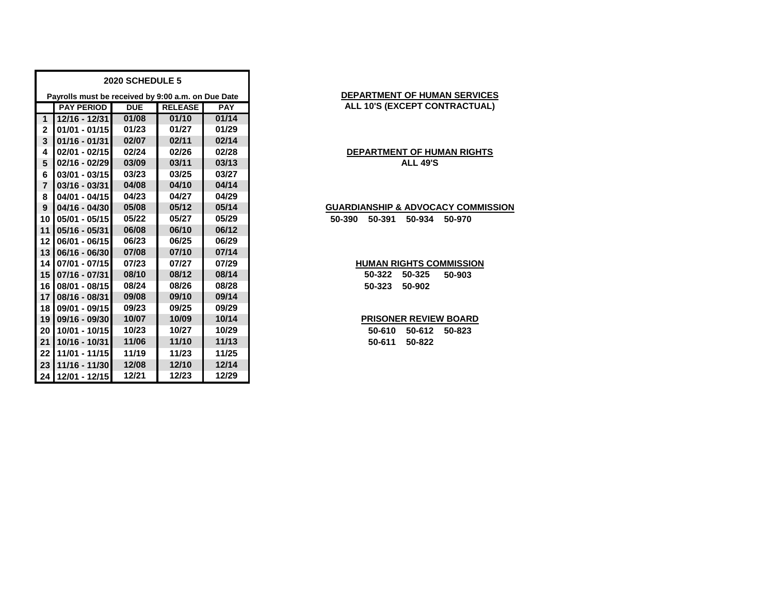|                | 2020 SCHEDULE 5                                    |            |                |       |  |  |  |  |  |  |  |  |
|----------------|----------------------------------------------------|------------|----------------|-------|--|--|--|--|--|--|--|--|
|                | Payrolls must be received by 9:00 a.m. on Due Date |            |                |       |  |  |  |  |  |  |  |  |
|                | <b>PAY PERIOD</b>                                  | <b>DUE</b> | <b>RELEASE</b> |       |  |  |  |  |  |  |  |  |
| 1              | 12/16 - 12/31                                      | 01/08      | 01/10          | 01/14 |  |  |  |  |  |  |  |  |
| $\mathbf{2}$   | 01/01 - 01/15                                      | 01/23      | 01/27          | 01/29 |  |  |  |  |  |  |  |  |
| 3              | $01/16 - 01/31$                                    | 02/07      | 02/11          | 02/14 |  |  |  |  |  |  |  |  |
| 4              | $02/01 - 02/15$                                    | 02/24      | 02/26          | 02/28 |  |  |  |  |  |  |  |  |
| 5              | 02/16 - 02/29                                      | 03/09      | 03/11          | 03/13 |  |  |  |  |  |  |  |  |
| 6              | 03/01 - 03/15                                      | 03/23      | 03/25          | 03/27 |  |  |  |  |  |  |  |  |
| $\overline{7}$ | $03/16 - 03/31$                                    | 04/08      | 04/10          | 04/14 |  |  |  |  |  |  |  |  |
| 8              | 04/01 - 04/15                                      | 04/23      | 04/27          | 04/29 |  |  |  |  |  |  |  |  |
| 9              | $04/16 - 04/30$                                    | 05/08      | 05/12          | 05/14 |  |  |  |  |  |  |  |  |
| 10             | $05/01 - 05/15$                                    | 05/22      | 05/27          | 05/29 |  |  |  |  |  |  |  |  |
| 11             | 05/16 - 05/31                                      | 06/08      | 06/10          | 06/12 |  |  |  |  |  |  |  |  |
| 12             | 06/01 - 06/15                                      | 06/23      | 06/25          | 06/29 |  |  |  |  |  |  |  |  |
| 13             | 06/16 - 06/30                                      | 07/08      | 07/10          | 07/14 |  |  |  |  |  |  |  |  |
| 14             | 07/01 - 07/15                                      | 07/23      | 07/27          | 07/29 |  |  |  |  |  |  |  |  |
| 15             | 07/16 - 07/31                                      | 08/10      | 08/12          | 08/14 |  |  |  |  |  |  |  |  |
| 16             | 08/01 - 08/15                                      | 08/24      | 08/26          | 08/28 |  |  |  |  |  |  |  |  |
| 17             | 08/16 - 08/31                                      | 09/08      | 09/10          | 09/14 |  |  |  |  |  |  |  |  |
| 18             | 09/01 - 09/15                                      | 09/23      | 09/25          | 09/29 |  |  |  |  |  |  |  |  |
| 19             | 09/16 - 09/30                                      | 10/07      | 10/09          | 10/14 |  |  |  |  |  |  |  |  |
| 20             | 10/01 - 10/15                                      | 10/23      | 10/27          | 10/29 |  |  |  |  |  |  |  |  |
| 21             | 10/16 - 10/31                                      | 11/06      | 11/10          | 11/13 |  |  |  |  |  |  |  |  |
| 22             | 11/01 - 11/15                                      | 11/19      | 11/23          | 11/25 |  |  |  |  |  |  |  |  |
| 23             | 11/16 - 11/30                                      | 12/08      | 12/10          | 12/14 |  |  |  |  |  |  |  |  |
| 24             | 12/01 - 12/15                                      | 12/21      | 12/23          | 12/29 |  |  |  |  |  |  |  |  |

# **DEPARTMENT OF HUMAN SERVICES ALL 10'S (EXCEPT CONTRACTUAL)**

# **DEPARTMENT OF HUMAN RIGHTS ALL 49'S**

### **GUARDIANSHIP & ADVOCACY COMMISSION**

**05/01 - 05/15 05/22 05/27 05/29 50-390 50-391 50-934 50-970**

# **HUMAN RIGHTS COMMISSION**

 **07/16 - 07/31 08/10 08/12 08/14 50-322 50-325 50-903 08/01 - 08/15 08/24 08/26 08/28 50-323 50-902**

# **PRISONER REVIEW BOARD**

 **10/01 - 10/15 10/23 10/27 10/29 50-610 50-612 50-823 10/16 - 10/31 11/06 11/10 11/13 50-611 50-822**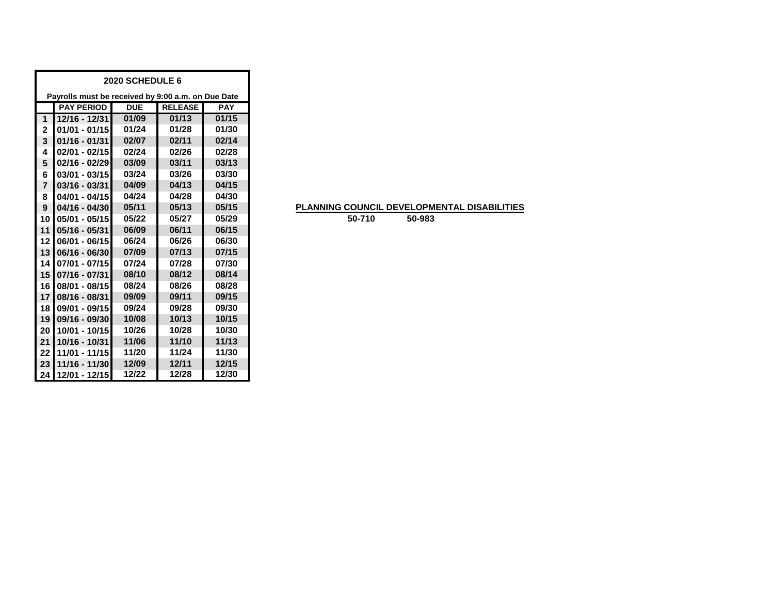| 2020 SCHEDULE 6 |                                                    |            |                |            |  |  |  |  |  |  |
|-----------------|----------------------------------------------------|------------|----------------|------------|--|--|--|--|--|--|
|                 | Payrolls must be received by 9:00 a.m. on Due Date |            |                |            |  |  |  |  |  |  |
|                 | <b>PAY PERIOD</b>                                  | <b>DUE</b> | <b>RELEASE</b> | <b>PAY</b> |  |  |  |  |  |  |
| 1               | 12/16 - 12/31                                      | 01/09      | 01/13          | 01/15      |  |  |  |  |  |  |
| $\mathbf{2}$    | $01/01 - 01/15$                                    | 01/24      | 01/28          | 01/30      |  |  |  |  |  |  |
| 3               | $01/16 - 01/31$                                    | 02/07      | 02/11          | 02/14      |  |  |  |  |  |  |
| 4               | $02/01 - 02/15$                                    | 02/24      | 02/26          | 02/28      |  |  |  |  |  |  |
| 5               | $02/16 - 02/29$                                    | 03/09      | 03/11          | 03/13      |  |  |  |  |  |  |
| 6               | $03/01 - 03/15$                                    | 03/24      | 03/26          | 03/30      |  |  |  |  |  |  |
| $\overline{7}$  | $03/16 - 03/31$                                    | 04/09      | 04/13          | 04/15      |  |  |  |  |  |  |
| 8               | 04/01 - 04/15                                      | 04/24      | 04/28          | 04/30      |  |  |  |  |  |  |
| 9               | 04/16 - 04/30                                      | 05/11      | 05/13          | 05/15      |  |  |  |  |  |  |
| 10              | $05/01 - 05/15$                                    | 05/22      | 05/27          | 05/29      |  |  |  |  |  |  |
| 11              | 05/16 - 05/31                                      | 06/09      | 06/11          | 06/15      |  |  |  |  |  |  |
| 12              | 06/01 - 06/15                                      | 06/24      | 06/26          | 06/30      |  |  |  |  |  |  |
| 13              | 06/16 - 06/30                                      | 07/09      | 07/13          | 07/15      |  |  |  |  |  |  |
| 14              | $07/01 - 07/15$                                    | 07/24      | 07/28          | 07/30      |  |  |  |  |  |  |
| 15              | 07/16 - 07/31                                      | 08/10      | 08/12          | 08/14      |  |  |  |  |  |  |
| 16              | 08/01 - 08/15                                      | 08/24      | 08/26          | 08/28      |  |  |  |  |  |  |
| 17              | 08/16 - 08/31                                      | 09/09      | 09/11          | 09/15      |  |  |  |  |  |  |
| 18              | 09/01 - 09/15                                      | 09/24      | 09/28          | 09/30      |  |  |  |  |  |  |
| 19              | 09/16 - 09/30                                      | 10/08      | 10/13          | 10/15      |  |  |  |  |  |  |
| 20              | 10/01 - 10/15                                      | 10/26      | 10/28          | 10/30      |  |  |  |  |  |  |
| 21              | 10/16 - 10/31                                      | 11/06      | 11/10          | 11/13      |  |  |  |  |  |  |
| 22              | 11/01 - 11/15                                      | 11/20      | 11/24          | 11/30      |  |  |  |  |  |  |
| 23              | 11/16 - 11/30                                      | 12/09      | 12/11          | 12/15      |  |  |  |  |  |  |
| 24              | 12/01 - 12/15                                      | 12/22      | 12/28          | 12/30      |  |  |  |  |  |  |

# **PLANNING COUNCIL DEVELOPMENTAL DISABILITIES**

**50-710 50-983**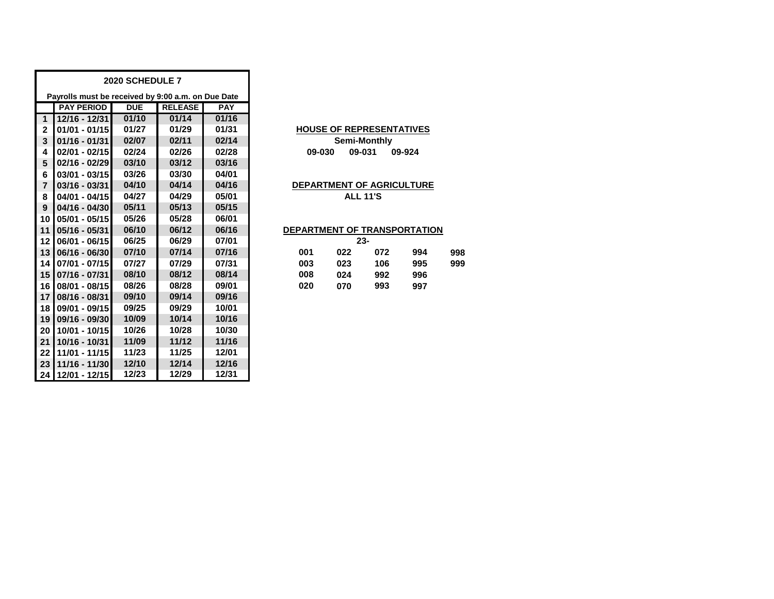|                |                                                    | 2020 SCHEDULE 7 |                |            |                                  |
|----------------|----------------------------------------------------|-----------------|----------------|------------|----------------------------------|
|                | Payrolls must be received by 9:00 a.m. on Due Date |                 |                |            |                                  |
|                | <b>PAY PERIOD</b>                                  | <b>DUE</b>      | <b>RELEASE</b> | <b>PAY</b> |                                  |
| 1              | 12/16 - 12/31                                      | 01/10           | 01/14          | 01/16      |                                  |
| $\mathbf{2}$   | 01/01 - 01/15                                      | 01/27           | 01/29          | 01/31      | <b>HOUSE OF REPRESENTATIVES</b>  |
| 3              | $01/16 - 01/31$                                    | 02/07           | 02/11          | 02/14      | Semi-Monthly                     |
| 4              | 02/01 - 02/15                                      | 02/24           | 02/26          | 02/28      | 09-031<br>09-030<br>09-924       |
| 5              | 02/16 - 02/29                                      | 03/10           | 03/12          | 03/16      |                                  |
| 6              | $03/01 - 03/15$                                    | 03/26           | 03/30          | 04/01      |                                  |
| $\overline{7}$ | 03/16 - 03/31                                      | 04/10           | 04/14          | 04/16      | <b>DEPARTMENT OF AGRICULTURE</b> |
| 8              | 04/01 - 04/15                                      | 04/27           | 04/29          | 05/01      | <b>ALL 11'S</b>                  |
| 9              | 04/16 - 04/30                                      | 05/11           | 05/13          | 05/15      |                                  |
| 10             | 05/01 - 05/15                                      | 05/26           | 05/28          | 06/01      |                                  |
| 11             | $05/16 - 05/31$                                    | 06/10           | 06/12          | 06/16      | DEPARTMENT OF TRANSPORTATION     |
| 12             | 06/01 - 06/15                                      | 06/25           | 06/29          | 07/01      | $23 -$                           |
| 13             | 06/16 - 06/30                                      | 07/10           | 07/14          | 07/16      | 001<br>072<br>022<br>994<br>998  |
| 14             | 07/01 - 07/15                                      | 07/27           | 07/29          | 07/31      | 106<br>003<br>023<br>995<br>999  |
| 15             | 07/16 - 07/31                                      | 08/10           | 08/12          | 08/14      | 008<br>024<br>992<br>996         |
| 16             | 08/01 - 08/15                                      | 08/26           | 08/28          | 09/01      | 020<br>993<br>070<br>997         |
| 17             | 08/16 - 08/31                                      | 09/10           | 09/14          | 09/16      |                                  |
| 18             | 09/01 - 09/15                                      | 09/25           | 09/29          | 10/01      |                                  |
| 19             | 09/16 - 09/30                                      | 10/09           | 10/14          | 10/16      |                                  |
| 20             | 10/01 - 10/15                                      | 10/26           | 10/28          | 10/30      |                                  |
| 21             | 10/16 - 10/31                                      | 11/09           | 11/12          | 11/16      |                                  |
| 22             | 11/01 - 11/15                                      | 11/23           | 11/25          | 12/01      |                                  |
| 23             | 11/16 - 11/30                                      | 12/10           | 12/14          | 12/16      |                                  |
| 24             | 12/01 - 12/15                                      | 12/23           | 12/29          | 12/31      |                                  |

# **HOUSE OF REPRESENTATIVES 09-030 09-031 09-924 Semi-Monthly**

## **DEPARTMENT OF AGRICULTURE ALL 11'S**

# **DEPARTMENT OF TRANSPORTATION**

|     |     | 23- |     |     |
|-----|-----|-----|-----|-----|
| 001 | 022 | 072 | 994 | 998 |
| 003 | 023 | 106 | 995 | 999 |
| 008 | 024 | 992 | 996 |     |
| 020 | 070 | 993 | 997 |     |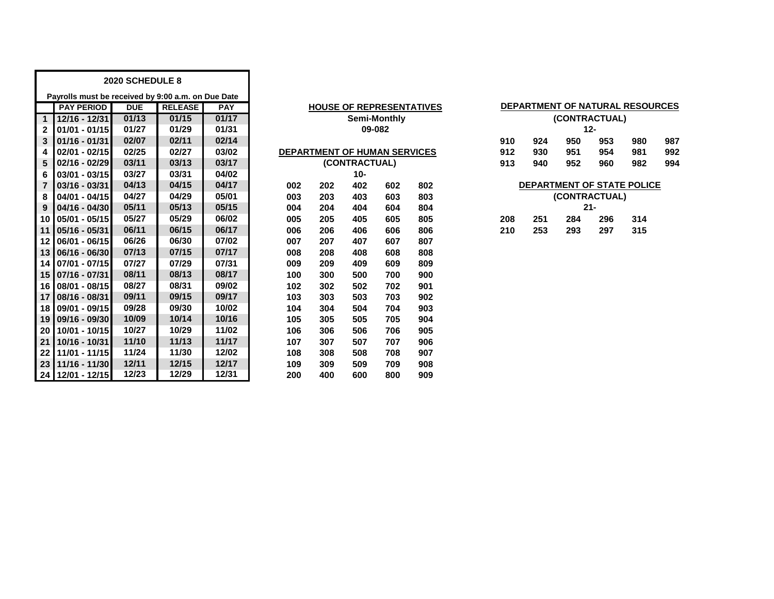|                 | 2020 SCHEDULE 8                                    |            |                |            |     |                                 |               |              |     |  |               |     |               |        |                                 |     |
|-----------------|----------------------------------------------------|------------|----------------|------------|-----|---------------------------------|---------------|--------------|-----|--|---------------|-----|---------------|--------|---------------------------------|-----|
|                 | Payrolls must be received by 9:00 a.m. on Due Date |            |                |            |     |                                 |               |              |     |  |               |     |               |        |                                 |     |
|                 | <b>PAY PERIOD</b>                                  | <b>DUE</b> | <b>RELEASE</b> | <b>PAY</b> |     | <b>HOUSE OF REPRESENTATIVES</b> |               |              |     |  |               |     |               |        | DEPARTMENT OF NATURAL RESOURCES |     |
| $\mathbf{1}$    | 12/16 - 12/31                                      | 01/13      | 01/15          | 01/17      |     |                                 |               | Semi-Monthly |     |  |               |     | (CONTRACTUAL) |        |                                 |     |
| $\mathbf{2}$    | $01/01 - 01/15$                                    | 01/27      | 01/29          | 01/31      |     |                                 |               | 09-082       |     |  |               |     |               | $12 -$ |                                 |     |
| 3               | $01/16 - 01/31$                                    | 02/07      | 02/11          | 02/14      |     |                                 |               |              |     |  |               | 924 | 950           | 953    | 980                             | 987 |
| 4               | $02/01 - 02/15$                                    | 02/25      | 02/27          | 03/02      |     | DEPARTMENT OF HUMAN SERVICES    |               |              |     |  | 912           | 930 | 951           | 954    | 981                             | 992 |
| 5               | 02/16 - 02/29                                      | 03/11      | 03/13          | 03/17      |     |                                 | (CONTRACTUAL) |              |     |  | 913           | 940 | 952           | 960    | 982                             | 994 |
| 6               | $03/01 - 03/15$                                    | 03/27      | 03/31          | 04/02      |     | $10 -$                          |               |              |     |  |               |     |               |        |                                 |     |
| $\overline{7}$  | 03/16 - 03/31                                      | 04/13      | 04/15          | 04/17      | 002 | 202                             | 402           | 602          | 802 |  |               |     |               |        | DEPARTMENT OF STATE POLICE      |     |
| 8               | 04/01 - 04/15                                      | 04/27      | 04/29          | 05/01      | 003 | 203                             | 403           | 603          | 803 |  | (CONTRACTUAL) |     |               |        |                                 |     |
| 9               | 04/16 - 04/30                                      | 05/11      | 05/13          | 05/15      | 004 | 204                             | 404           | 604          | 804 |  | $21 -$        |     |               |        |                                 |     |
| 10              | 05/01 - 05/15                                      | 05/27      | 05/29          | 06/02      | 005 | 205                             | 405           | 605          | 805 |  | 208           | 251 | 284           | 296    | 314                             |     |
| 11              | $05/16 - 05/31$                                    | 06/11      | 06/15          | 06/17      | 006 | 206                             | 406           | 606          | 806 |  | 210           | 253 | 293           | 297    | 315                             |     |
| $12 \,$         | 06/01 - 06/15                                      | 06/26      | 06/30          | 07/02      | 007 | 207                             | 407           | 607          | 807 |  |               |     |               |        |                                 |     |
| 13 <sup>1</sup> | 06/16 - 06/30                                      | 07/13      | 07/15          | 07/17      | 008 | 208                             | 408           | 608          | 808 |  |               |     |               |        |                                 |     |
| 14 I            | 07/01 - 07/15                                      | 07/27      | 07/29          | 07/31      | 009 | 209                             | 409           | 609          | 809 |  |               |     |               |        |                                 |     |
|                 | 15 07/16 - 07/31                                   | 08/11      | 08/13          | 08/17      | 100 | 300                             | 500           | 700          | 900 |  |               |     |               |        |                                 |     |
| 16 <sup>1</sup> | 08/01 - 08/15                                      | 08/27      | 08/31          | 09/02      | 102 | 302                             | 502           | 702          | 901 |  |               |     |               |        |                                 |     |
| 17 <sup>1</sup> | 08/16 - 08/31                                      | 09/11      | 09/15          | 09/17      | 103 | 303                             | 503           | 703          | 902 |  |               |     |               |        |                                 |     |
| 18 <sup>1</sup> | 09/01 - 09/15                                      | 09/28      | 09/30          | 10/02      | 104 | 304                             | 504           | 704          | 903 |  |               |     |               |        |                                 |     |
| 19              | 09/16 - 09/30                                      | 10/09      | 10/14          | 10/16      | 105 | 305                             | 505           | 705          | 904 |  |               |     |               |        |                                 |     |
| 20              | 10/01 - 10/15                                      | 10/27      | 10/29          | 11/02      | 106 | 306                             | 506           | 706          | 905 |  |               |     |               |        |                                 |     |
| 21              | 10/16 - 10/31                                      | 11/10      | 11/13          | 11/17      | 107 | 307                             | 507           | 707          | 906 |  |               |     |               |        |                                 |     |
| 22              | 11/01 - 11/15                                      | 11/24      | 11/30          | 12/02      | 108 | 308                             | 508           | 708          | 907 |  |               |     |               |        |                                 |     |
| 23              | 11/16 - 11/30                                      | 12/11      | 12/15          | 12/17      | 109 | 309                             | 509           | 709          | 908 |  |               |     |               |        |                                 |     |
|                 | 24 12/01 - 12/15                                   | 12/23      | 12/29          | 12/31      | 200 | 400                             | 600           | 800          | 909 |  |               |     |               |        |                                 |     |

| <b>HOUSE OF REPRESENTATIVES</b>     |     |        |              |     |  |  |  |  |  |  |  |
|-------------------------------------|-----|--------|--------------|-----|--|--|--|--|--|--|--|
|                                     |     |        | Semi-Monthly |     |  |  |  |  |  |  |  |
|                                     |     | 09-082 |              |     |  |  |  |  |  |  |  |
|                                     |     |        |              |     |  |  |  |  |  |  |  |
| <b>DEPARTMENT OF HUMAN SERVICES</b> |     |        |              |     |  |  |  |  |  |  |  |
| (CONTRACTUAL)                       |     |        |              |     |  |  |  |  |  |  |  |
| $10 -$                              |     |        |              |     |  |  |  |  |  |  |  |
| 002                                 | 202 | 402    | 602          | 802 |  |  |  |  |  |  |  |
| 003                                 | 203 | 403    | 603          | 803 |  |  |  |  |  |  |  |
| 004                                 | 204 | 404    | 604          | 804 |  |  |  |  |  |  |  |
| 005                                 | 205 | 405    | 605          | 805 |  |  |  |  |  |  |  |
| 006                                 | 206 | 406    | 606          | 806 |  |  |  |  |  |  |  |
| 007                                 | 207 | 407    | 607          | 807 |  |  |  |  |  |  |  |
| 008                                 | 208 | 408    | 608          | 808 |  |  |  |  |  |  |  |
| 009                                 | 209 | 409    | 609          | 809 |  |  |  |  |  |  |  |
| 100                                 | 300 | 500    | 700          | 900 |  |  |  |  |  |  |  |
| 102                                 | 302 | 502    | 702          | 901 |  |  |  |  |  |  |  |
| 103                                 | 303 | 503    | 703          | 902 |  |  |  |  |  |  |  |
| 104                                 | 304 | 504    | 704          | 903 |  |  |  |  |  |  |  |
| 105                                 | 305 | 505    | 705          | 904 |  |  |  |  |  |  |  |
| 106                                 | 306 | 506    | 706          | 905 |  |  |  |  |  |  |  |
| 107                                 | 307 | 507    | 707          | 906 |  |  |  |  |  |  |  |
| 108                                 | 308 | 508    | 708          | 907 |  |  |  |  |  |  |  |
| 109                                 | 309 | 509    | 709          | 908 |  |  |  |  |  |  |  |
| 200                                 | 400 | 600    | 800          | 909 |  |  |  |  |  |  |  |

| DEPARTMENT OF NATURAL RESOURCES<br><b>HOUSE OF REPRESENTATIVES</b> |               |              |     |     |                          |               |     |                            |     |  |  |  |  |
|--------------------------------------------------------------------|---------------|--------------|-----|-----|--------------------------|---------------|-----|----------------------------|-----|--|--|--|--|
|                                                                    |               | Semi-Monthly |     |     | (CONTRACTUAL)            |               |     |                            |     |  |  |  |  |
|                                                                    | 09-082        |              |     |     | $12 -$                   |               |     |                            |     |  |  |  |  |
|                                                                    |               |              |     | 910 | 924                      | 950           | 953 | 980                        | 987 |  |  |  |  |
| <b>TMENT OF HUMAN SERVICES</b>                                     |               |              |     | 912 | 930                      | 951           | 954 | 981                        | 992 |  |  |  |  |
|                                                                    | (CONTRACTUAL) |              |     | 913 | 940<br>952<br>960<br>982 |               |     |                            |     |  |  |  |  |
|                                                                    | $10-$         |              |     |     |                          |               |     |                            |     |  |  |  |  |
| 202                                                                | 402           | 602          | 802 |     |                          |               |     | DEPARTMENT OF STATE POLICE |     |  |  |  |  |
| 203                                                                | 403           | 603          | 803 |     |                          | (CONTRACTUAL) |     |                            |     |  |  |  |  |
| 204                                                                | 404           | 604          | 804 |     | $21 -$                   |               |     |                            |     |  |  |  |  |
| 205                                                                | 405           | 605          | 805 | 208 | 251                      | 284           | 296 | 314                        |     |  |  |  |  |
| 206                                                                | 406           | 606          | 806 | 210 | 253                      | 293           | 297 | 315                        |     |  |  |  |  |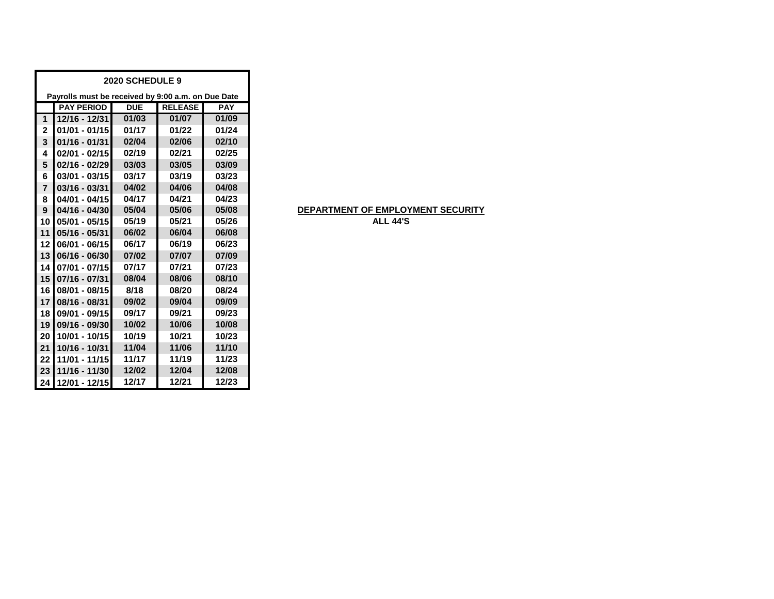| 2020 SCHEDULE 9 |                                                    |            |                |            |  |  |  |  |  |  |  |  |
|-----------------|----------------------------------------------------|------------|----------------|------------|--|--|--|--|--|--|--|--|
|                 | Payrolls must be received by 9:00 a.m. on Due Date |            |                |            |  |  |  |  |  |  |  |  |
|                 | <b>PAY PERIOD</b>                                  | <b>DUE</b> | <b>RELEASE</b> | <b>PAY</b> |  |  |  |  |  |  |  |  |
| 1               | 12/16 - 12/31                                      | 01/03      | 01/07          | 01/09      |  |  |  |  |  |  |  |  |
| $\mathbf 2$     | $01/01 - 01/15$                                    | 01/17      | 01/22          | 01/24      |  |  |  |  |  |  |  |  |
| 3               | $01/16 - 01/31$                                    | 02/04      | 02/06          | 02/10      |  |  |  |  |  |  |  |  |
| 4               | $02/01 - 02/15$                                    | 02/19      | 02/21          | 02/25      |  |  |  |  |  |  |  |  |
| 5               | 02/16 - 02/29                                      | 03/03      | 03/05          | 03/09      |  |  |  |  |  |  |  |  |
| 6               | $03/01 - 03/15$                                    | 03/17      | 03/19          | 03/23      |  |  |  |  |  |  |  |  |
| $\overline{7}$  | $03/16 - 03/31$                                    | 04/02      | 04/06          | 04/08      |  |  |  |  |  |  |  |  |
| 8               | 04/01 - 04/15                                      | 04/17      | 04/21          | 04/23      |  |  |  |  |  |  |  |  |
| 9               | $04/16 - 04/30$                                    | 05/04      | 05/06          | 05/08      |  |  |  |  |  |  |  |  |
| 10              | 05/01 - 05/15                                      | 05/19      | 05/21          | 05/26      |  |  |  |  |  |  |  |  |
| 11              | 05/16 - 05/31                                      | 06/02      | 06/04          | 06/08      |  |  |  |  |  |  |  |  |
| 12              | $06/01 - 06/15$                                    | 06/17      | 06/19          | 06/23      |  |  |  |  |  |  |  |  |
| 13              | 06/16 - 06/30                                      | 07/02      | 07/07          | 07/09      |  |  |  |  |  |  |  |  |
| 14              | 07/01 - 07/15                                      | 07/17      | 07/21          | 07/23      |  |  |  |  |  |  |  |  |
| 15              | 07/16 - 07/31                                      | 08/04      | 08/06          | 08/10      |  |  |  |  |  |  |  |  |
| 16              | 08/01 - 08/15                                      | 8/18       | 08/20          | 08/24      |  |  |  |  |  |  |  |  |
| 17              | 08/16 - 08/31                                      | 09/02      | 09/04          | 09/09      |  |  |  |  |  |  |  |  |
| 18              | 09/01 - 09/15                                      | 09/17      | 09/21          | 09/23      |  |  |  |  |  |  |  |  |
| 19              | 09/16 - 09/30                                      | 10/02      | 10/06          | 10/08      |  |  |  |  |  |  |  |  |
| 20              | 10/01 - 10/15                                      | 10/19      | 10/21          | 10/23      |  |  |  |  |  |  |  |  |
| 21              | 10/16 - 10/31                                      | 11/04      | 11/06          | 11/10      |  |  |  |  |  |  |  |  |
| 22              | 11/01 - 11/15                                      | 11/17      | 11/19          | 11/23      |  |  |  |  |  |  |  |  |
| 23              | 11/16 - 11/30                                      | 12/02      | 12/04          | 12/08      |  |  |  |  |  |  |  |  |
| 24              | 12/01 - 12/15                                      | 12/17      | 12/21          | 12/23      |  |  |  |  |  |  |  |  |

# **DEPARTMENT OF EMPLOYMENT SECURITY**

**ALL 44'S**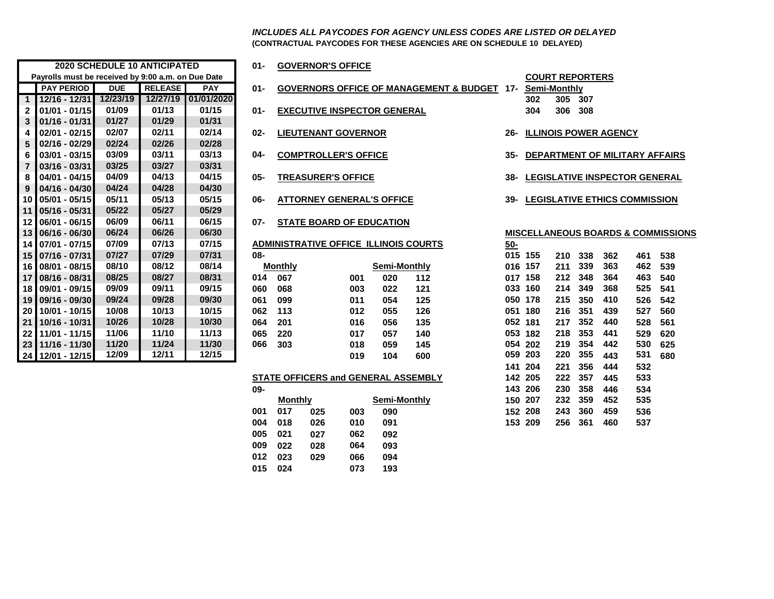**(CONTRACTUAL PAYCODES FOR THESE AGENCIES ARE ON SCHEDULE 10 DELAYED)** *INCLUDES ALL PAYCODES FOR AGENCY UNLESS CODES ARE LISTED OR DELAYED*

|              |                                                    | <b>2020 SCHEDULE 10 ANTICIPATED</b> |                |            | 01-    |                | <b>GOVERNOR'S OFFICE</b> |                                              |                     |                                                    |            |                     |                        |     |                              |                                           |     |
|--------------|----------------------------------------------------|-------------------------------------|----------------|------------|--------|----------------|--------------------------|----------------------------------------------|---------------------|----------------------------------------------------|------------|---------------------|------------------------|-----|------------------------------|-------------------------------------------|-----|
|              | Payrolls must be received by 9:00 a.m. on Due Date |                                     |                |            |        |                |                          |                                              |                     |                                                    |            |                     | <b>COURT REPORTERS</b> |     |                              |                                           |     |
|              | <b>PAY PERIOD</b>                                  | <b>DUE</b>                          | <b>RELEASE</b> | <b>PAY</b> | $01 -$ |                |                          |                                              |                     | <b>GOVERNORS OFFICE OF MANAGEMENT &amp; BUDGET</b> | $17-$      | <b>Semi-Monthly</b> |                        |     |                              |                                           |     |
| $\mathbf{1}$ | 12/16 - 12/31                                      | 12/23/19                            | 12/27/19       | 01/01/2020 |        |                |                          |                                              |                     |                                                    |            | 302                 | 305                    | 307 |                              |                                           |     |
| $\mathbf{2}$ | 01/01 - 01/15                                      | 01/09                               | 01/13          | 01/15      | $01 -$ |                |                          | <b>EXECUTIVE INSPECTOR GENERAL</b>           |                     |                                                    |            | 304                 | 306                    | 308 |                              |                                           |     |
| 3            | $01/16 - 01/31$                                    | 01/27                               | 01/29          | 01/31      |        |                |                          |                                              |                     |                                                    |            |                     |                        |     |                              |                                           |     |
| 4            | $02/01 - 02/15$                                    | 02/07                               | 02/11          | 02/14      | $02 -$ |                |                          | <b>LIEUTENANT GOVERNOR</b>                   |                     |                                                    | $26-$      |                     |                        |     | <b>ILLINOIS POWER AGENCY</b> |                                           |     |
| 5            | $02/16 - 02/29$                                    | 02/24                               | 02/26          | 02/28      |        |                |                          |                                              |                     |                                                    |            |                     |                        |     |                              |                                           |     |
| 6            | $03/01 - 03/15$                                    | 03/09                               | 03/11          | 03/13      | 04-    |                |                          | <b>COMPTROLLER'S OFFICE</b>                  |                     |                                                    | 35-        |                     |                        |     |                              | <b>DEPARTMENT OF MILITARY AFFAIL</b>      |     |
|              | $03/16 - 03/31$                                    | 03/25                               | 03/27          | 03/31      |        |                |                          |                                              |                     |                                                    |            |                     |                        |     |                              |                                           |     |
| 8            | 04/01 - 04/15                                      | 04/09                               | 04/13          | 04/15      | 05-    |                |                          | <b>TREASURER'S OFFICE</b>                    |                     |                                                    | 38-        |                     |                        |     |                              | <b>LEGISLATIVE INSPECTOR GENERA</b>       |     |
| 9            | $04/16 - 04/30$                                    | 04/24                               | 04/28          | 04/30      |        |                |                          |                                              |                     |                                                    |            |                     |                        |     |                              |                                           |     |
|              | 10 05/01 - 05/15                                   | 05/11                               | 05/13          | 05/15      | 06-    |                |                          | <b>ATTORNEY GENERAL'S OFFICE</b>             |                     |                                                    | 39-        |                     |                        |     |                              | <b>LEGISLATIVE ETHICS COMMISSION</b>      |     |
|              | 11 05/16 - 05/31                                   | 05/22                               | 05/27          | 05/29      |        |                |                          |                                              |                     |                                                    |            |                     |                        |     |                              |                                           |     |
|              | 12 06/01 - 06/15                                   | 06/09                               | 06/11          | 06/15      | 07-    |                |                          | <b>STATE BOARD OF EDUCATION</b>              |                     |                                                    |            |                     |                        |     |                              |                                           |     |
|              | 13 06/16 - 06/30                                   | 06/24                               | 06/26          | 06/30      |        |                |                          |                                              |                     |                                                    |            |                     |                        |     |                              | <b>MISCELLANEOUS BOARDS &amp; COMMISS</b> |     |
|              | 14 07/01 - 07/15                                   | 07/09                               | 07/13          | 07/15      |        |                |                          | <b>ADMINISTRATIVE OFFICE ILLINOIS COURTS</b> |                     |                                                    | <u>50-</u> |                     |                        |     |                              |                                           |     |
|              | 15 07/16 - 07/31                                   | 07/27                               | 07/29          | 07/31      | 08-    |                |                          |                                              |                     |                                                    | 015 155    |                     | 210                    | 338 | 362                          | 461                                       | 538 |
|              | 16 08/01 - 08/15                                   | 08/10                               | 08/12          | 08/14      |        | <b>Monthly</b> |                          |                                              | <b>Semi-Monthly</b> |                                                    | 016 157    |                     | 211                    | 339 | 363                          | 462                                       | 539 |
|              | 17 08/16 - 08/31                                   | 08/25                               | 08/27          | 08/31      | 014    | 067            |                          | 001                                          | 020                 | 112                                                |            | 017 158             | 212                    | 348 | 364                          | 463                                       | 540 |
|              | 18 09/01 - 09/15                                   | 09/09                               | 09/11          | 09/15      | 060    | 068            |                          | 003                                          | 022                 | 121                                                |            | 033 160             | 214                    | 349 | 368                          | 525                                       | 541 |
|              | 19 09/16 - 09/30                                   | 09/24                               | 09/28          | 09/30      | 061    | 099            |                          | 011                                          | 054                 | 125                                                |            | 050 178             | 215                    | 350 | 410                          | 526                                       | 542 |
|              | 20 10/01 - 10/15                                   | 10/08                               | 10/13          | 10/15      | 062    | 113            |                          | 012                                          | 055                 | 126                                                |            | 051 180             | 216                    | 351 | 439                          | 527                                       | 560 |
| 21           | 10/16 - 10/31                                      | 10/26                               | 10/28          | 10/30      | 064    | 201            |                          | 016                                          | 056                 | 135                                                | 052 181    |                     | 217                    | 352 | 440                          | 528                                       | 561 |
| 22           | 11/01 - 11/15                                      | 11/06                               | 11/10          | 11/13      | 065    | 220            |                          | 017                                          | 057                 | 140                                                | 053        | 182                 | 218                    | 353 | 441                          | 529                                       | 620 |
|              | 23 11/16 - 11/30                                   | 11/20                               | 11/24          | 11/30      | 066    | 303            |                          | 018                                          | 059                 | 145                                                |            | 054 202             | 219                    | 354 | 442                          | 530                                       | 625 |
|              | 24 12/01 - 12/15                                   | 12/09                               | 12/11          | 12/15      |        |                |                          | 019                                          | 104                 | 600                                                |            | 059 203             | 220                    | 355 | 443                          | 531                                       | 680 |
|              |                                                    |                                     |                |            |        |                |                          |                                              |                     |                                                    |            |                     |                        |     |                              |                                           |     |

## **2020 SCHEDULE 10 ANTICIPATED 01- GOVERNOR'S OFFICE**

- **01-** GOVERNORS OFFICE OF MANAGEMENT & BUDGET 17-
- **01/01 01/15 01/09 01/13 01/15 01- EXECUTIVE INSPECTOR GENERAL 304 306 308**
- **02/01 02/15 02/07 02/11 02/14 02- LIEUTENANT GOVERNOR 26- ILLINOIS POWER AGENCY**
	-
- 
- 
- **06/01 06/15 06/09 06/11 06/15 07- STATE BOARD OF EDUCATION**
- 
- 

|              | <b>Monthly</b> | Semi-Monthly |     |     |  |  |  |  |  |
|--------------|----------------|--------------|-----|-----|--|--|--|--|--|
| 4            | 067            | 001          | 020 | 112 |  |  |  |  |  |
| O            | 068            | 003          | 022 | 121 |  |  |  |  |  |
| 1            | 099            | 011          | 054 | 125 |  |  |  |  |  |
| $\mathbf{2}$ | 113            | 012          | 055 | 126 |  |  |  |  |  |
| 4            | 201            | 016          | 056 | 135 |  |  |  |  |  |
| 5            | 220            | 017          | 057 | 140 |  |  |  |  |  |
| 6            | 303            | 018          | 059 | 145 |  |  |  |  |  |
|              |                | 019          | 104 | 600 |  |  |  |  |  |
|              |                |              |     |     |  |  |  |  |  |

#### **STATE OFFICERS and GENERAL ASSEMBLY**

| ບງ- |                |     |     |              | 14J ZUU |         | 200 JJO | 440 | IJJ4 |
|-----|----------------|-----|-----|--------------|---------|---------|---------|-----|------|
|     | <b>Monthly</b> |     |     | Semi-Monthly | 150 207 |         | 232 359 | 452 | 535  |
| 001 | 017            | 025 | 003 | 090          | 152 208 | 243     | - 360   | 459 | 536  |
| 004 | 018            | 026 | 010 | 091          | 153 209 | 256 361 |         | 460 | 537  |
| 005 | 021            | 027 | 062 | 092          |         |         |         |     |      |
| 009 | 022            | 028 | 064 | 093          |         |         |         |     |      |
| 012 | 023            | 029 | 066 | 094          |         |         |         |     |      |
| 015 | 024            |     | 073 | 193          |         |         |         |     |      |
|     |                |     |     |              |         |         |         |     |      |

|              | <b>COURT REPORTERS</b> |
|--------------|------------------------|
| Semi-Monthly |                        |

- **12/16 12/31 12/23/19 12/27/19 01/01/2020 302 305 307**
- 
- **03/01 03/15 03/09 03/11 03/13 04- COMPTROLLER'S OFFICE 35- DEPARTMENT OF MILITARY AFFAIRS**
- **04/01 04/15 04/09 04/13 04/15 05- TREASURER'S OFFICE 38- LEGISLATIVE INSPECTOR GENERAL**
- **05/01 05/15 05/11 05/13 05/15 06- ATTORNEY GENERAL'S OFFICE 39- LEGISLATIVE ETHICS COMMISSION**

#### **06/16 - 06/30 06/24 06/26 06/30 MISCELLANEOUS BOARDS & COMMISSIONS**

|     |                |     |                                            |              | ADMINISTRATIVE OFFICE ILLINOIS COURTS | $50-$ |         |     |     |     |     |     |
|-----|----------------|-----|--------------------------------------------|--------------|---------------------------------------|-------|---------|-----|-----|-----|-----|-----|
| 08- |                |     |                                            |              |                                       | 015   | 155     | 210 | 338 | 362 | 461 | 538 |
|     | <b>Monthly</b> |     |                                            | Semi-Monthly |                                       | 016   | 157     | 211 | 339 | 363 | 462 | 539 |
| 014 | 067            |     | 001                                        | 020          | 112                                   | 017   | 158     | 212 | 348 | 364 | 463 | 540 |
| 060 | 068            |     | 003                                        | 022          | 121                                   |       | 033 160 | 214 | 349 | 368 | 525 | 541 |
| 061 | 099            |     | 011                                        | 054          | 125                                   | 050   | 178     | 215 | 350 | 410 | 526 | 542 |
| 062 | 113            |     | 012                                        | 055          | 126                                   |       | 051 180 | 216 | 351 | 439 | 527 | 560 |
| 064 | 201            |     | 016                                        | 056          | 135                                   |       | 052 181 | 217 | 352 | 440 | 528 | 561 |
| 065 | 220            |     | 017                                        | 057          | 140                                   |       | 053 182 | 218 | 353 | 441 | 529 | 620 |
| 066 | 303            |     | 018                                        | 059          | 145                                   |       | 054 202 | 219 | 354 | 442 | 530 | 625 |
|     |                |     | 019                                        | 104          | 600                                   |       | 059 203 | 220 | 355 | 443 | 531 | 680 |
|     |                |     |                                            |              |                                       |       | 141 204 | 221 | 356 | 444 | 532 |     |
|     |                |     | <b>STATE OFFICERS and GENERAL ASSEMBLY</b> |              |                                       |       | 142 205 | 222 | 357 | 445 | 533 |     |
| 09- |                |     |                                            |              |                                       |       | 143 206 | 230 | 358 | 446 | 534 |     |
|     | <b>Monthly</b> |     |                                            | Semi-Monthly |                                       | 150   | 207     | 232 | 359 | 452 | 535 |     |
| 001 | 017            | 025 | 003                                        | 090          |                                       |       | 152 208 | 243 | 360 | 459 | 536 |     |
| 004 | 018            | 026 | 010                                        | 091          |                                       |       | 153 209 | 256 | 361 | 460 | 537 |     |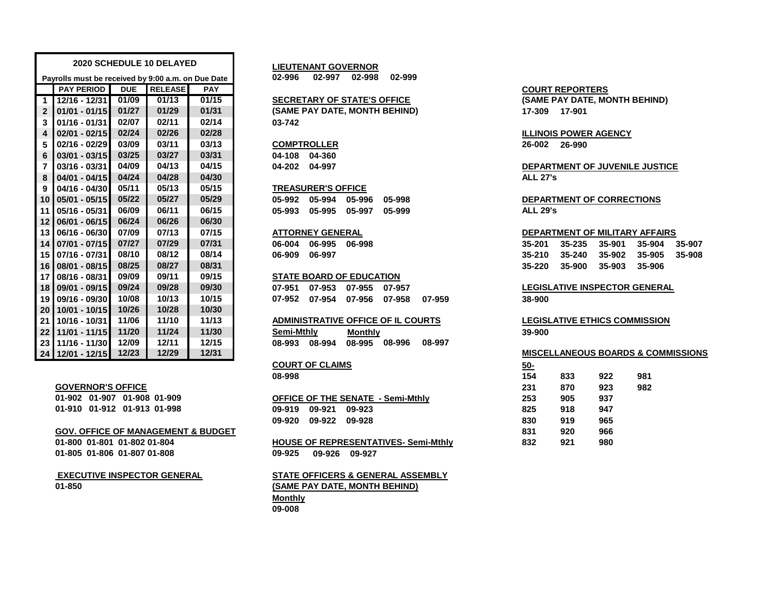|                |                                                    |            | 2020 SCHEDULE 10 DELAYED |            | <b>LIEUTENANT GOVERNOR</b>                     |                                                    |
|----------------|----------------------------------------------------|------------|--------------------------|------------|------------------------------------------------|----------------------------------------------------|
|                | Payrolls must be received by 9:00 a.m. on Due Date |            |                          |            | 02-996<br>02-997 02-998<br>02-999              |                                                    |
|                | <b>PAY PERIOD</b>                                  | <b>DUE</b> | <b>RELEASE</b>           | <b>PAY</b> |                                                | <b>COURT REPORTERS</b>                             |
|                | $1$   12/16 - 12/31                                | 01/09      | 01/13                    | 01/15      | <b>SECRETARY OF STATE'S OFFICE</b>             | (SAME PAY DATE, MONTH BEHIND)                      |
| $\overline{2}$ | $ 01/01 - 01/15 $                                  | 01/27      | 01/29                    | 01/31      | (SAME PAY DATE, MONTH BEHIND)                  | 17-309 17-901                                      |
| 3              | $101/16 - 01/31$                                   | 02/07      | 02/11                    | 02/14      | 03-742                                         |                                                    |
| 4              | $ 02/01 - 02/15 $                                  | 02/24      | 02/26                    | 02/28      |                                                | <b>ILLINOIS POWER AGENCY</b>                       |
| 5              | $02/16 - 02/29$                                    | 03/09      | 03/11                    | 03/13      | <b>COMPTROLLER</b>                             | 26-002<br>26-990                                   |
| 6              | $ 03/01 - 03/15 $                                  | 03/25      | 03/27                    | 03/31      | 04-108 04-360                                  |                                                    |
| $\overline{7}$ | $103/16 - 03/31$                                   | 04/09      | 04/13                    | 04/15      | 04-202 04-997                                  | DEPARTMENT OF JUVENILE JUSTICE                     |
| 8              | $ 04/01 - 04/15 $                                  | 04/24      | 04/28                    | 04/30      |                                                | <b>ALL 27's</b>                                    |
| 9              | $04/16 - 04/30$                                    | 05/11      | 05/13                    | 05/15      | <b>TREASURER'S OFFICE</b>                      |                                                    |
|                | 10 05/01 - 05/15                                   | 05/22      | 05/27                    | 05/29      | 05-992<br>05-994<br>05-996<br>05-998           | <b>DEPARTMENT OF CORRECTIONS</b>                   |
|                | 11 05/16 - 05/31                                   | 06/09      | 06/11                    | 06/15      | 05-995<br>05-997<br>05-993<br>05-999           | <b>ALL 29's</b>                                    |
|                | 12 06/01 - 06/15                                   | 06/24      | 06/26                    | 06/30      |                                                |                                                    |
|                | 13 06/16 - 06/30                                   | 07/09      | 07/13                    | 07/15      | <b>ATTORNEY GENERAL</b>                        | DEPARTMENT OF MILITARY AFFAIRS                     |
|                | 14 07/01 - 07/15                                   | 07/27      | 07/29                    | 07/31      | 06-995<br>06-004<br>06-998                     | 35-901<br>35-201<br>35-235<br>35-904<br>35-907     |
|                | 15 07/16 - 07/31                                   | 08/10      | 08/12                    | 08/14      | 06-909<br>06-997                               | $35 - 210$<br>35-240<br>35-902<br>35-905<br>35-908 |
|                | 16 08/01 - 08/15                                   | 08/25      | 08/27                    | 08/31      |                                                | 35-220<br>35-900<br>35-903<br>35-906               |
|                | 17 08/16 - 08/31                                   | 09/09      | 09/11                    | 09/15      | <b>STATE BOARD OF EDUCATION</b>                |                                                    |
|                | 18 09/01 - 09/15                                   | 09/24      | 09/28                    | 09/30      | 07-955<br>07-951<br>07-953<br>07-957           | <b>LEGISLATIVE INSPECTOR GENERAL</b>               |
|                | 19 09/16 - 09/30                                   | 10/08      | 10/13                    | 10/15      | 07-952<br>07-954<br>07-956<br>07-958<br>07-959 | 38-900                                             |
|                | 20 10/01 - 10/15                                   | 10/26      | 10/28                    | 10/30      |                                                |                                                    |
|                | 21 10/16 - 10/31                                   | 11/06      | 11/10                    | 11/13      | <b>ADMINISTRATIVE OFFICE OF IL COURTS</b>      | <b>LEGISLATIVE ETHICS COMMISSION</b>               |
|                | 22 11/01 - 11/15                                   | 11/20      | 11/24                    | 11/30      | Semi-Mthly<br><b>Monthly</b>                   | 39-900                                             |
|                | 23 11/16 - 11/30                                   | 12/09      | 12/11                    | 12/15      | 08-997<br>08-995 08-996<br>08-993 08-994       |                                                    |
|                | 24 12/01 - 12/15                                   | 12/23      | 12/29                    | 12/31      |                                                | <b>MISCELLANEOUS BOARDS &amp; COMMISSION</b>       |

#### **GOVERNOR'S OFFICE**

**01-902 01-907 01-908 01-909 01-910 01-912 01-913 01-998** 

**GOV. OFFICE OF MANAGEMENT & BUDGET 831 920 966**

**01-800 01-801 01-802 01-804 01-805 01-806 01-807 01-808**

### **01-850 EXECUTIVE INSPECTOR GENERAL**

## **SECRETARY OF STATE'S OFFICE**

#### **TREASURER'S OFFICE**

#### **ATTORNEY GENERAL**

### **STATE BOARD OF EDUCATION**

# **COURT OF CLAIMS**

|                      | <b>OFFICE OF THE SENATE - Semi-Mthly</b> | 253 | 905 | 937 |
|----------------------|------------------------------------------|-----|-----|-----|
| 09-919 09-921 09-923 |                                          | 825 | 918 | 947 |
| 09-920 09-922 09-928 |                                          | 830 | 919 | 965 |

**09-925 09-926 09-927 HOUSE OF REPRESENTATIVES- Semi-Mthly**

## **Monthly 09-008 STATE OFFICERS & GENERAL ASSEMBLY (SAME PAY DATE, MONTH BEHIND)**

#### **13 06/16 - 06/30 07/09 07/13 07/15 DEPARTMENT OF MILITARY AFFAIRS**

| 35-201 35-235 35-901 35-904 35-907 |  |  |
|------------------------------------|--|--|
| 35-210 35-240 35-902 35-905 35-908 |  |  |
| 35-220 35-900 35-903 35-906        |  |  |

#### **24 12/01 - 12/15 12/23 12/29 12/31 MISCELLANEOUS BOARDS & COMMISSIONS**

| <b>COURT OF CLAIMS</b>                      | <u>50-</u> |     |     |     |
|---------------------------------------------|------------|-----|-----|-----|
| 08-998                                      | 154        | 833 | 922 | 981 |
|                                             | 231        | 870 | 923 | 982 |
| <b>OFFICE OF THE SENATE - Semi-Mthlv</b>    | 253        | 905 | 937 |     |
| 09-919<br>09-921<br>09-923                  | 825        | 918 | 947 |     |
| 09-920<br>09-922<br>09-928                  | 830        | 919 | 965 |     |
|                                             | 831        | 920 | 966 |     |
| <b>HOUSE OF REPRESENTATIVES- Semi-Mthly</b> | 832        | 921 | 980 |     |
|                                             |            |     |     |     |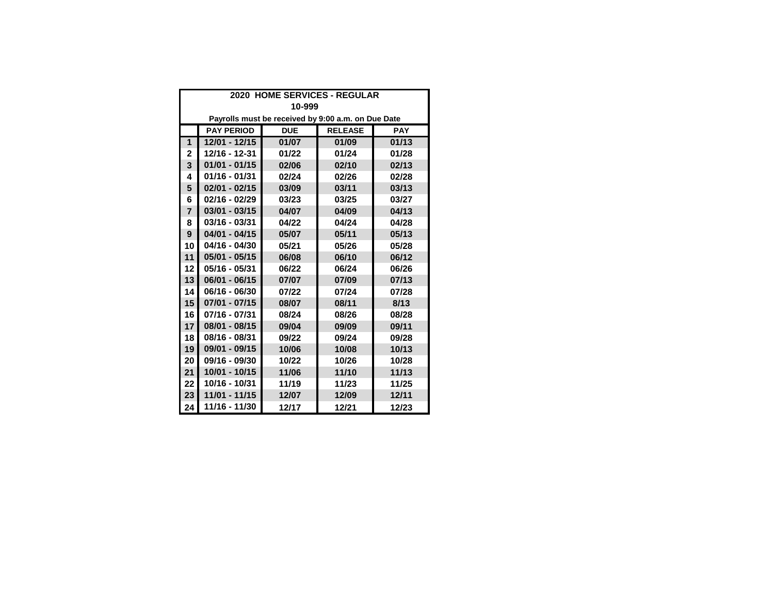| 2020 HOME SERVICES - REGULAR |                                                                 |       |       |       |  |  |  |  |
|------------------------------|-----------------------------------------------------------------|-------|-------|-------|--|--|--|--|
|                              | 10-999                                                          |       |       |       |  |  |  |  |
|                              | Payrolls must be received by 9:00 a.m. on Due Date              |       |       |       |  |  |  |  |
|                              | <b>PAY PERIOD</b><br><b>RELEASE</b><br><b>DUE</b><br><b>PAY</b> |       |       |       |  |  |  |  |
| 1                            | 12/01 - 12/15                                                   | 01/07 | 01/09 | 01/13 |  |  |  |  |
| 2                            | 12/16 - 12-31                                                   | 01/22 | 01/24 | 01/28 |  |  |  |  |
| 3                            | $01/01 - 01/15$                                                 | 02/06 | 02/10 | 02/13 |  |  |  |  |
| 4                            | 01/16 - 01/31                                                   | 02/24 | 02/26 | 02/28 |  |  |  |  |
| 5                            | $02/01 - 02/15$                                                 | 03/09 | 03/11 | 03/13 |  |  |  |  |
| 6                            | 02/16 - 02/29                                                   | 03/23 | 03/25 | 03/27 |  |  |  |  |
| $\overline{7}$               | $03/01 - 03/15$                                                 | 04/07 | 04/09 | 04/13 |  |  |  |  |
| 8                            | 03/16 - 03/31                                                   | 04/22 | 04/24 | 04/28 |  |  |  |  |
| 9                            | $04/01 - 04/15$                                                 | 05/07 | 05/11 | 05/13 |  |  |  |  |
| 10                           | 04/16 - 04/30                                                   | 05/21 | 05/26 | 05/28 |  |  |  |  |
| 11                           | $05/01 - 05/15$                                                 | 06/08 | 06/10 | 06/12 |  |  |  |  |
| 12                           | 05/16 - 05/31                                                   | 06/22 | 06/24 | 06/26 |  |  |  |  |
| 13                           | $06/01 - 06/15$                                                 | 07/07 | 07/09 | 07/13 |  |  |  |  |
| 14                           | 06/16 - 06/30                                                   | 07/22 | 07/24 | 07/28 |  |  |  |  |
| 15                           | $07/01 - 07/15$                                                 | 08/07 | 08/11 | 8/13  |  |  |  |  |
| 16                           | 07/16 - 07/31                                                   | 08/24 | 08/26 | 08/28 |  |  |  |  |
| 17                           | 08/01 - 08/15                                                   | 09/04 | 09/09 | 09/11 |  |  |  |  |
| 18                           | 08/16 - 08/31                                                   | 09/22 | 09/24 | 09/28 |  |  |  |  |
| 19                           | 09/01 - 09/15                                                   | 10/06 | 10/08 | 10/13 |  |  |  |  |
| 20                           | 09/16 - 09/30                                                   | 10/22 | 10/26 | 10/28 |  |  |  |  |
| 21                           | 10/01 - 10/15                                                   | 11/06 | 11/10 | 11/13 |  |  |  |  |
| 22                           | 10/16 - 10/31                                                   | 11/19 | 11/23 | 11/25 |  |  |  |  |
| 23                           | 11/01 - 11/15                                                   | 12/07 | 12/09 | 12/11 |  |  |  |  |
| 24                           | 11/16 - 11/30                                                   | 12/17 | 12/21 | 12/23 |  |  |  |  |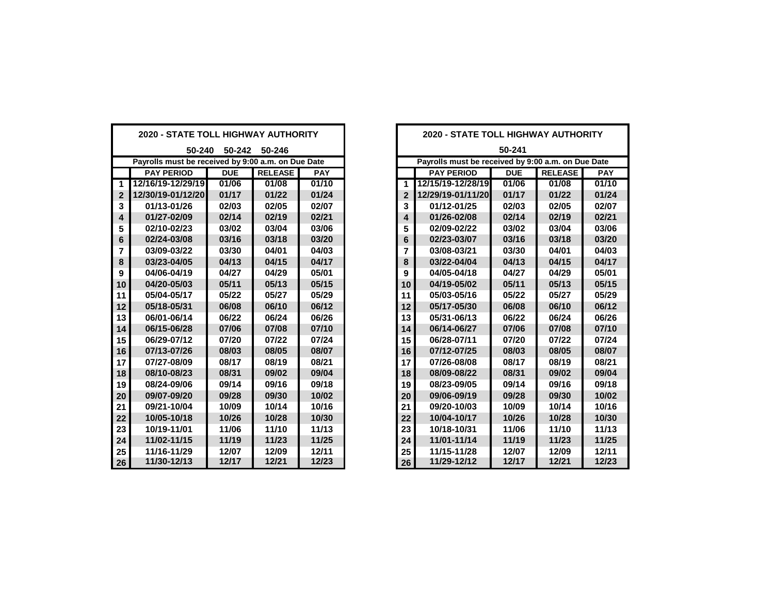| <b>2020 - STATE TOLL HIGHWAY AUTHORITY</b>         |                   |            | <b>2020 - STATE TOLL HIGHWAY AUTHORITY</b> |                                                    |                         |                   |            |                |            |
|----------------------------------------------------|-------------------|------------|--------------------------------------------|----------------------------------------------------|-------------------------|-------------------|------------|----------------|------------|
| 50-240<br>50-242 50-246                            |                   |            |                                            | 50-241                                             |                         |                   |            |                |            |
| Payrolls must be received by 9:00 a.m. on Due Date |                   |            |                                            | Payrolls must be received by 9:00 a.m. on Due Date |                         |                   |            |                |            |
|                                                    | <b>PAY PERIOD</b> | <b>DUE</b> | <b>RELEASE</b>                             | <b>PAY</b>                                         |                         | <b>PAY PERIOD</b> | <b>DUE</b> | <b>RELEASE</b> | <b>PAY</b> |
| 1                                                  | 12/16/19-12/29/19 | 01/06      | 01/08                                      | 01/10                                              | $\mathbf{1}$            | 12/15/19-12/28/19 | 01/06      | 01/08          | 01/10      |
| $\overline{2}$                                     | 12/30/19-01/12/20 | 01/17      | 01/22                                      | 01/24                                              | $\overline{2}$          | 12/29/19-01/11/20 | 01/17      | 01/22          | 01/24      |
| 3                                                  | 01/13-01/26       | 02/03      | 02/05                                      | 02/07                                              | 3                       | 01/12-01/25       | 02/03      | 02/05          | 02/07      |
| 4                                                  | 01/27-02/09       | 02/14      | 02/19                                      | 02/21                                              | $\overline{\mathbf{4}}$ | 01/26-02/08       | 02/14      | 02/19          | 02/21      |
| 5                                                  | 02/10-02/23       | 03/02      | 03/04                                      | 03/06                                              | 5                       | 02/09-02/22       | 03/02      | 03/04          | 03/06      |
| 6                                                  | 02/24-03/08       | 03/16      | 03/18                                      | 03/20                                              | 6                       | 02/23-03/07       | 03/16      | 03/18          | 03/20      |
| 7                                                  | 03/09-03/22       | 03/30      | 04/01                                      | 04/03                                              | 7                       | 03/08-03/21       | 03/30      | 04/01          | 04/03      |
| 8                                                  | 03/23-04/05       | 04/13      | 04/15                                      | 04/17                                              | 8                       | 03/22-04/04       | 04/13      | 04/15          | 04/17      |
| 9                                                  | 04/06-04/19       | 04/27      | 04/29                                      | 05/01                                              | 9                       | 04/05-04/18       | 04/27      | 04/29          | 05/01      |
| 10                                                 | 04/20-05/03       | 05/11      | 05/13                                      | 05/15                                              | 10                      | 04/19-05/02       | 05/11      | 05/13          | 05/15      |
| 11                                                 | 05/04-05/17       | 05/22      | 05/27                                      | 05/29                                              | 11                      | 05/03-05/16       | 05/22      | 05/27          | 05/29      |
| 12                                                 | 05/18-05/31       | 06/08      | 06/10                                      | 06/12                                              | 12                      | 05/17-05/30       | 06/08      | 06/10          | 06/12      |
| 13                                                 | 06/01-06/14       | 06/22      | 06/24                                      | 06/26                                              | 13                      | 05/31-06/13       | 06/22      | 06/24          | 06/26      |
| 14                                                 | 06/15-06/28       | 07/06      | 07/08                                      | 07/10                                              | 14                      | 06/14-06/27       | 07/06      | 07/08          | 07/10      |
| 15                                                 | 06/29-07/12       | 07/20      | 07/22                                      | 07/24                                              | 15                      | 06/28-07/11       | 07/20      | 07/22          | 07/24      |
| 16                                                 | 07/13-07/26       | 08/03      | 08/05                                      | 08/07                                              | 16                      | 07/12-07/25       | 08/03      | 08/05          | 08/07      |
| 17                                                 | 07/27-08/09       | 08/17      | 08/19                                      | 08/21                                              | 17                      | 07/26-08/08       | 08/17      | 08/19          | 08/21      |
| 18                                                 | 08/10-08/23       | 08/31      | 09/02                                      | 09/04                                              | 18                      | 08/09-08/22       | 08/31      | 09/02          | 09/04      |
| 19                                                 | 08/24-09/06       | 09/14      | 09/16                                      | 09/18                                              | 19                      | 08/23-09/05       | 09/14      | 09/16          | 09/18      |
| 20                                                 | 09/07-09/20       | 09/28      | 09/30                                      | 10/02                                              | 20                      | 09/06-09/19       | 09/28      | 09/30          | 10/02      |
| 21                                                 | 09/21-10/04       | 10/09      | 10/14                                      | 10/16                                              | 21                      | 09/20-10/03       | 10/09      | 10/14          | 10/16      |
| 22                                                 | 10/05-10/18       | 10/26      | 10/28                                      | 10/30                                              | 22                      | 10/04-10/17       | 10/26      | 10/28          | 10/30      |
| 23                                                 | 10/19-11/01       | 11/06      | 11/10                                      | 11/13                                              | 23                      | 10/18-10/31       | 11/06      | 11/10          | 11/13      |
| 24                                                 | 11/02-11/15       | 11/19      | 11/23                                      | 11/25                                              | 24                      | 11/01-11/14       | 11/19      | 11/23          | 11/25      |
| 25                                                 | 11/16-11/29       | 12/07      | 12/09                                      | 12/11                                              | 25                      | 11/15-11/28       | 12/07      | 12/09          | 12/11      |
| 26                                                 | 11/30-12/13       | 12/17      | 12/21                                      | 12/23                                              | 26                      | 11/29-12/12       | 12/17      | 12/21          | 12/23      |

| <b>020 - STATE TOLL HIGHWAY AUTHORITY</b>       |            |                | <b>2020 - STATE TOLL HIGHWAY AUTHORITY</b> |                                                    |                   |            |                |            |  |
|-------------------------------------------------|------------|----------------|--------------------------------------------|----------------------------------------------------|-------------------|------------|----------------|------------|--|
| 50-246<br>50-240<br>50-242                      |            |                | 50-241                                     |                                                    |                   |            |                |            |  |
| rolls must be received by 9:00 a.m. on Due Date |            |                |                                            | Payrolls must be received by 9:00 a.m. on Due Date |                   |            |                |            |  |
| <b>PAY PERIOD</b>                               | <b>DUE</b> | <b>RELEASE</b> | <b>PAY</b>                                 |                                                    | <b>PAY PERIOD</b> | <b>DUE</b> | <b>RELEASE</b> | <b>PAY</b> |  |
| 16/19-12/29/19                                  | 01/06      | 01/08          | 01/10                                      | 1                                                  | 12/15/19-12/28/19 | 01/06      | 01/08          | 01/10      |  |
| 30/19-01/12/20                                  | 01/17      | 01/22          | 01/24                                      | $\overline{2}$                                     | 12/29/19-01/11/20 | 01/17      | 01/22          | 01/24      |  |
| 01/13-01/26                                     | 02/03      | 02/05          | 02/07                                      | 3                                                  | 01/12-01/25       | 02/03      | 02/05          | 02/07      |  |
| 01/27-02/09                                     | 02/14      | 02/19          | 02/21                                      | 4                                                  | 01/26-02/08       | 02/14      | 02/19          | 02/21      |  |
| 02/10-02/23                                     | 03/02      | 03/04          | 03/06                                      | 5                                                  | 02/09-02/22       | 03/02      | 03/04          | 03/06      |  |
| 02/24-03/08                                     | 03/16      | 03/18          | 03/20                                      | 6                                                  | 02/23-03/07       | 03/16      | 03/18          | 03/20      |  |
| 03/09-03/22                                     | 03/30      | 04/01          | 04/03                                      | 7                                                  | 03/08-03/21       | 03/30      | 04/01          | 04/03      |  |
| 03/23-04/05                                     | 04/13      | 04/15          | 04/17                                      | 8                                                  | 03/22-04/04       | 04/13      | 04/15          | 04/17      |  |
| 04/06-04/19                                     | 04/27      | 04/29          | 05/01                                      | 9                                                  | 04/05-04/18       | 04/27      | 04/29          | 05/01      |  |
| 04/20-05/03                                     | 05/11      | 05/13          | 05/15                                      | 10                                                 | 04/19-05/02       | 05/11      | 05/13          | 05/15      |  |
| 05/04-05/17                                     | 05/22      | 05/27          | 05/29                                      | 11                                                 | 05/03-05/16       | 05/22      | 05/27          | 05/29      |  |
| 05/18-05/31                                     | 06/08      | 06/10          | 06/12                                      | 12                                                 | 05/17-05/30       | 06/08      | 06/10          | 06/12      |  |
| 06/01-06/14                                     | 06/22      | 06/24          | 06/26                                      | 13                                                 | 05/31-06/13       | 06/22      | 06/24          | 06/26      |  |
| 06/15-06/28                                     | 07/06      | 07/08          | 07/10                                      | 14                                                 | 06/14-06/27       | 07/06      | 07/08          | 07/10      |  |
| 06/29-07/12                                     | 07/20      | 07/22          | 07/24                                      | 15                                                 | 06/28-07/11       | 07/20      | 07/22          | 07/24      |  |
| 07/13-07/26                                     | 08/03      | 08/05          | 08/07                                      | 16                                                 | 07/12-07/25       | 08/03      | 08/05          | 08/07      |  |
| 07/27-08/09                                     | 08/17      | 08/19          | 08/21                                      | 17                                                 | 07/26-08/08       | 08/17      | 08/19          | 08/21      |  |
| 08/10-08/23                                     | 08/31      | 09/02          | 09/04                                      | 18                                                 | 08/09-08/22       | 08/31      | 09/02          | 09/04      |  |
| 08/24-09/06                                     | 09/14      | 09/16          | 09/18                                      | 19                                                 | 08/23-09/05       | 09/14      | 09/16          | 09/18      |  |
| 09/07-09/20                                     | 09/28      | 09/30          | 10/02                                      | 20                                                 | 09/06-09/19       | 09/28      | 09/30          | 10/02      |  |
| 09/21-10/04                                     | 10/09      | 10/14          | 10/16                                      | 21                                                 | 09/20-10/03       | 10/09      | 10/14          | 10/16      |  |
| 10/05-10/18                                     | 10/26      | 10/28          | 10/30                                      | 22                                                 | 10/04-10/17       | 10/26      | 10/28          | 10/30      |  |
| 10/19-11/01                                     | 11/06      | 11/10          | 11/13                                      | 23                                                 | 10/18-10/31       | 11/06      | 11/10          | 11/13      |  |
| 11/02-11/15                                     | 11/19      | 11/23          | 11/25                                      | 24                                                 | 11/01-11/14       | 11/19      | 11/23          | 11/25      |  |
| 11/16-11/29                                     | 12/07      | 12/09          | 12/11                                      | 25                                                 | 11/15-11/28       | 12/07      | 12/09          | 12/11      |  |
| 11/30-12/13                                     | 12/17      | 12/21          | 12/23                                      | 26                                                 | 11/29-12/12       | 12/17      | 12/21          | 12/23      |  |